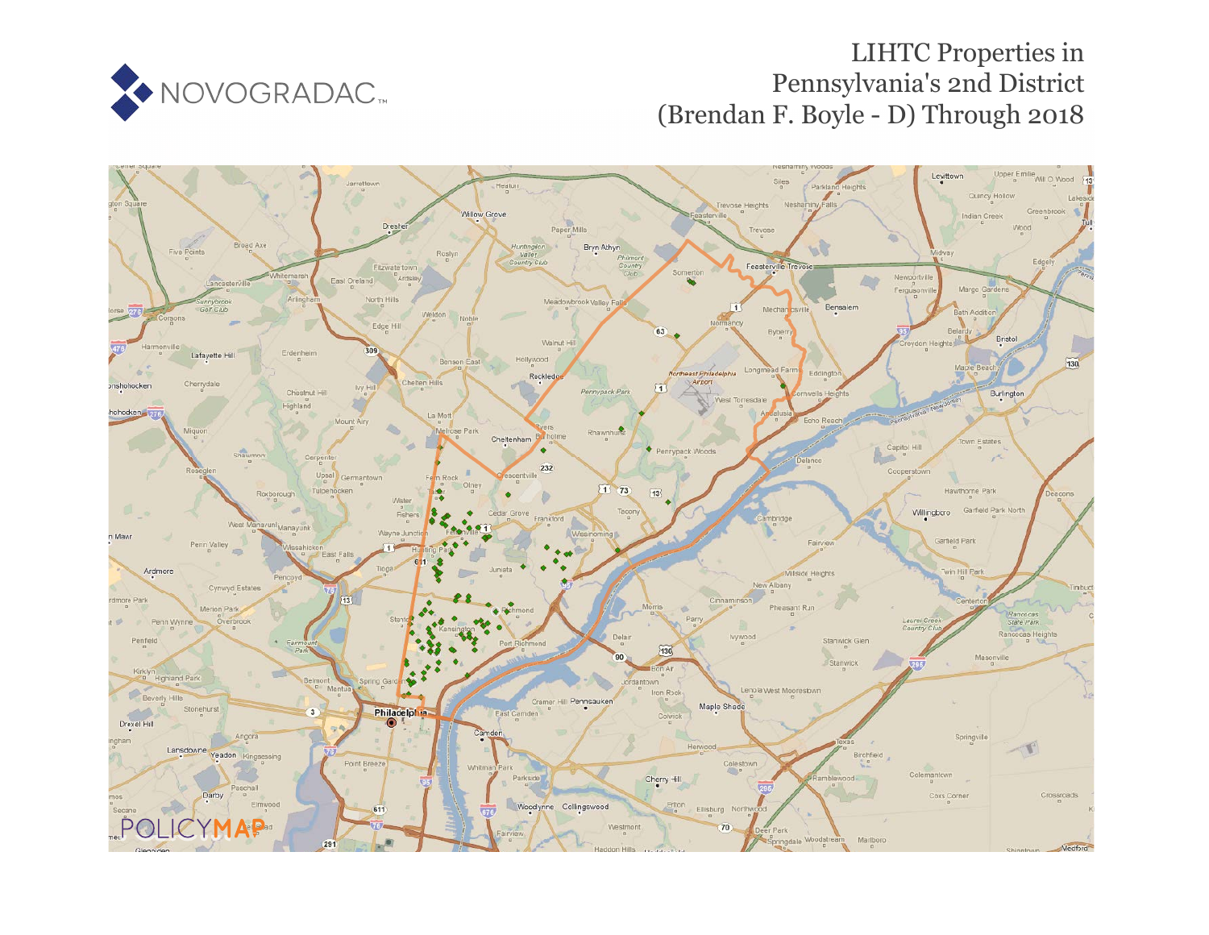

# LIHTC Properties in Pennsylvania's 2nd District (Brendan F. Boyle - D) Through 2018

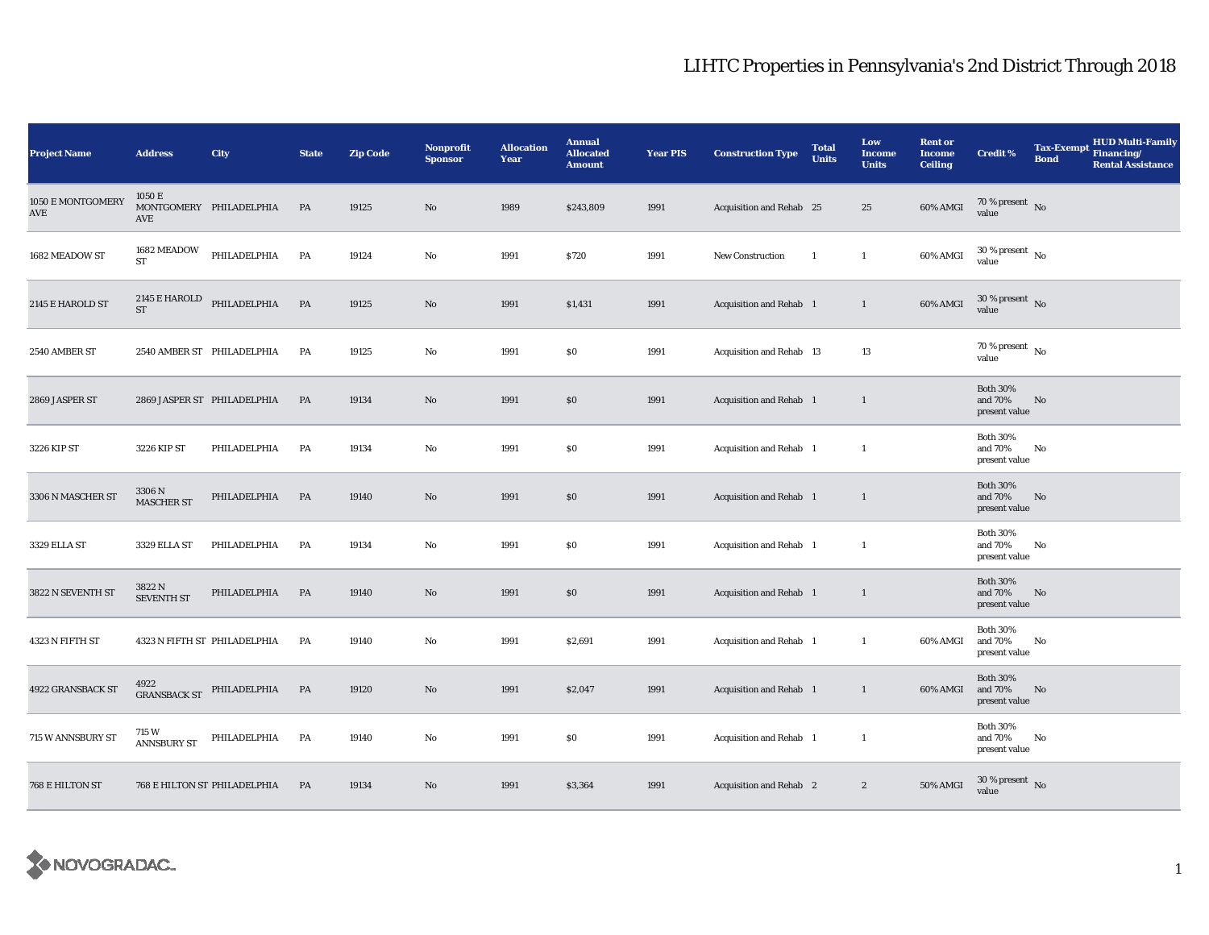| <b>Project Name</b>      | <b>Address</b>                                | City                         | <b>State</b> | <b>Zip Code</b> | <b>Nonprofit</b><br><b>Sponsor</b> | <b>Allocation</b><br>Year | <b>Annual</b><br><b>Allocated</b><br><b>Amount</b> | <b>Year PIS</b> | <b>Construction Type</b>       | <b>Total</b><br><b>Units</b> | Low<br><b>Income</b><br><b>Units</b> | <b>Rent or</b><br><b>Income</b><br><b>Ceiling</b> | <b>Credit %</b>                             | <b>Tax-Exempt</b><br><b>Bond</b> | <b>HUD Multi-Family</b><br>Financing/<br><b>Rental Assistance</b> |
|--------------------------|-----------------------------------------------|------------------------------|--------------|-----------------|------------------------------------|---------------------------|----------------------------------------------------|-----------------|--------------------------------|------------------------------|--------------------------------------|---------------------------------------------------|---------------------------------------------|----------------------------------|-------------------------------------------------------------------|
| 1050 E MONTGOMERY<br>AVE | 1050 E<br>AVE                                 | MONTGOMERY PHILADELPHIA      | PA           | 19125           | $\mathbf{No}$                      | 1989                      | \$243,809                                          | 1991            | Acquisition and Rehab 25       |                              | 25                                   | 60% AMGI                                          | 70 % present $\hbox{~No}$<br>value          |                                  |                                                                   |
| 1682 MEADOW ST           | 1682 MEADOW<br><b>ST</b>                      | PHILADELPHIA                 | PA           | 19124           | No                                 | 1991                      | \$720                                              | 1991            | <b>New Construction</b>        | 1                            | $\mathbf{1}$                         | 60% AMGI                                          | $30$ % present $\,$ No $\,$<br>value        |                                  |                                                                   |
| 2145 E HAROLD ST         | $2145\to\text{HAROLD}$<br>$\operatorname{ST}$ | PHILADELPHIA                 | PA           | 19125           | $\mathbf{No}$                      | 1991                      | \$1,431                                            | 1991            | Acquisition and Rehab 1        |                              | $\mathbf{1}$                         | 60% AMGI                                          | $30\,\%$ present $\,$ No value              |                                  |                                                                   |
| 2540 AMBER ST            |                                               | 2540 AMBER ST PHILADELPHIA   | PA           | 19125           | No                                 | 1991                      | S <sub>0</sub>                                     | 1991            | Acquisition and Rehab 13       |                              | 13                                   |                                                   | $70$ % present $\,$ No $\,$<br>value        |                                  |                                                                   |
| 2869 JASPER ST           |                                               | 2869 JASPER ST PHILADELPHIA  | PA           | 19134           | No                                 | 1991                      | \$0                                                | 1991            | <b>Acquisition and Rehab</b> 1 |                              | $\mathbf{1}$                         |                                                   | <b>Both 30%</b><br>and 70%<br>present value | No                               |                                                                   |
| 3226 KIP ST              | 3226 KIP ST                                   | PHILADELPHIA                 | PA           | 19134           | No                                 | 1991                      | \$0                                                | 1991            | Acquisition and Rehab 1        |                              | $\mathbf{1}$                         |                                                   | <b>Both 30%</b><br>and 70%<br>present value | No                               |                                                                   |
| 3306 N MASCHER ST        | 3306 N<br><b>MASCHER ST</b>                   | PHILADELPHIA                 | PA           | 19140           | No                                 | 1991                      | \$0                                                | 1991            | Acquisition and Rehab 1        |                              | $\mathbf{1}$                         |                                                   | <b>Both 30%</b><br>and 70%<br>present value | No                               |                                                                   |
| 3329 ELLA ST             | 3329 ELLA ST                                  | PHILADELPHIA                 | PA           | 19134           | No                                 | 1991                      | $\$0$                                              | 1991            | Acquisition and Rehab 1        |                              | $\mathbf{1}$                         |                                                   | <b>Both 30%</b><br>and 70%<br>present value | No                               |                                                                   |
| 3822 N SEVENTH ST        | 3822N<br><b>SEVENTH ST</b>                    | PHILADELPHIA                 | PA           | 19140           | No                                 | 1991                      | \$0                                                | 1991            | Acquisition and Rehab 1        |                              | $\mathbf{1}$                         |                                                   | <b>Both 30%</b><br>and 70%<br>present value | No                               |                                                                   |
| 4323 N FIFTH ST          |                                               | 4323 N FIFTH ST PHILADELPHIA | PA           | 19140           | No                                 | 1991                      | \$2,691                                            | 1991            | Acquisition and Rehab 1        |                              | $\mathbf{1}$                         | 60% AMGI                                          | <b>Both 30%</b><br>and 70%<br>present value | No                               |                                                                   |
| 4922 GRANSBACK ST        | 4922<br><b>GRANSBACK ST</b>                   | PHILADELPHIA                 | PA           | 19120           | No                                 | 1991                      | \$2,047                                            | 1991            | Acquisition and Rehab 1        |                              | $\mathbf{1}$                         | 60% AMGI                                          | <b>Both 30%</b><br>and 70%<br>present value | No                               |                                                                   |
| 715 W ANNSBURY ST        | 715 W<br><b>ANNSBURY ST</b>                   | PHILADELPHIA                 | PA           | 19140           | No                                 | 1991                      | \$0                                                | 1991            | Acquisition and Rehab 1        |                              | $\mathbf{1}$                         |                                                   | <b>Both 30%</b><br>and 70%<br>present value | No                               |                                                                   |
| 768 E HILTON ST          |                                               | 768 E HILTON ST PHILADELPHIA | PA           | 19134           | No                                 | 1991                      | \$3,364                                            | 1991            | <b>Acquisition and Rehab</b> 2 |                              | $\boldsymbol{2}$                     | <b>50% AMGI</b>                                   | $30\,\%$ present $\,$ No value              |                                  |                                                                   |

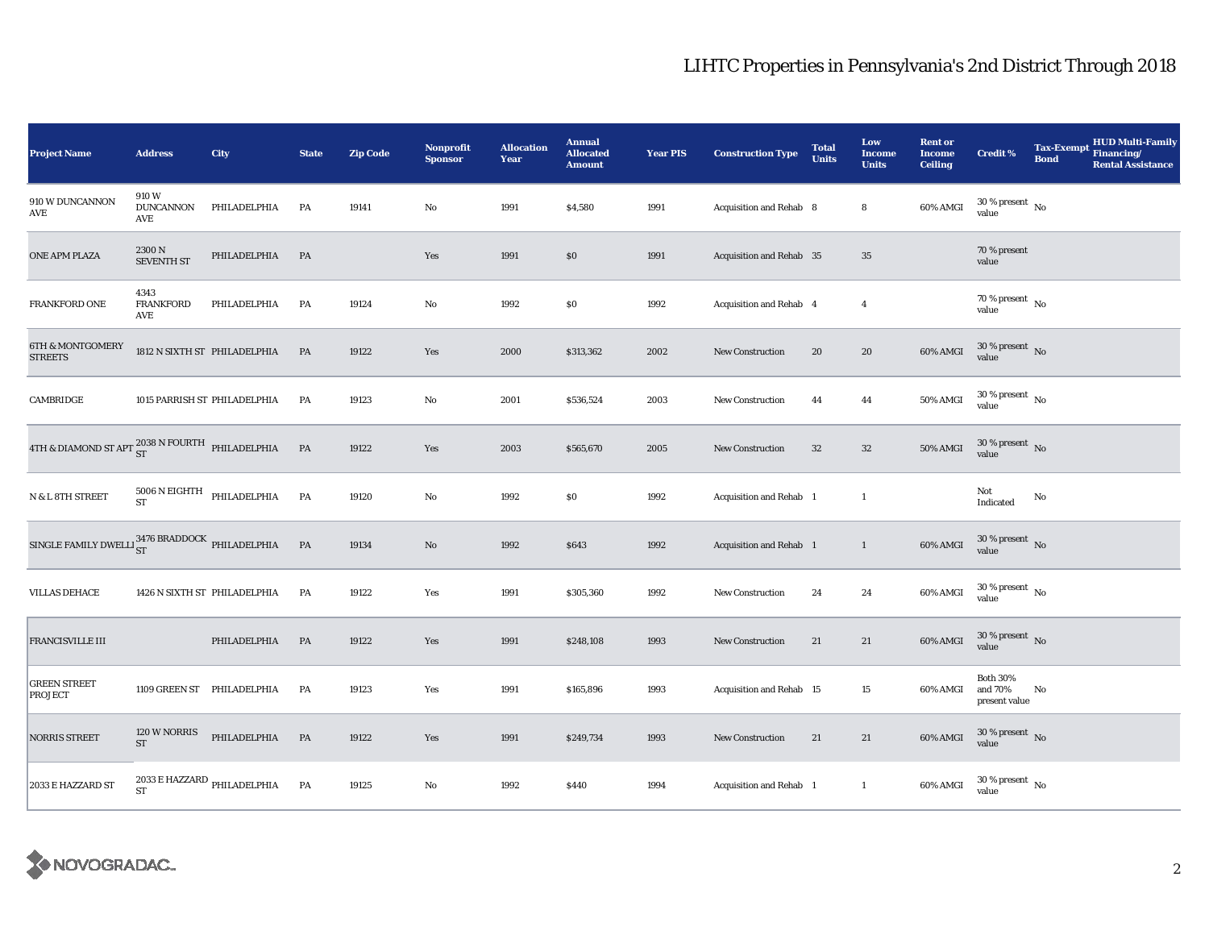| <b>Project Name</b>                                       | <b>Address</b>                      | City                                              | <b>State</b> | <b>Zip Code</b> | <b>Nonprofit</b><br><b>Sponsor</b> | <b>Allocation</b><br>Year | <b>Annual</b><br><b>Allocated</b><br><b>Amount</b> | <b>Year PIS</b> | <b>Construction Type</b>       | <b>Total</b><br><b>Units</b> | Low<br><b>Income</b><br><b>Units</b> | <b>Rent or</b><br><b>Income</b><br><b>Ceiling</b> | <b>Credit %</b>                             | Tax-Exempt Financing/<br><b>Bond</b> | <b>HUD Multi-Family</b><br><b>Rental Assistance</b> |
|-----------------------------------------------------------|-------------------------------------|---------------------------------------------------|--------------|-----------------|------------------------------------|---------------------------|----------------------------------------------------|-----------------|--------------------------------|------------------------------|--------------------------------------|---------------------------------------------------|---------------------------------------------|--------------------------------------|-----------------------------------------------------|
| 910 W DUNCANNON<br>AVE                                    | 910W<br><b>DUNCANNON</b><br>AVE     | PHILADELPHIA                                      | PA           | 19141           | No                                 | 1991                      | \$4,580                                            | 1991            | Acquisition and Rehab 8        |                              | 8                                    | 60% AMGI                                          | $30$ % present $\,$ No $\,$<br>value        |                                      |                                                     |
| ONE APM PLAZA                                             | 2300N<br><b>SEVENTH ST</b>          | PHILADELPHIA                                      | PA           |                 | Yes                                | 1991                      | $\$0$                                              | 1991            | Acquisition and Rehab 35       |                              | $35\,$                               |                                                   | 70 % present<br>value                       |                                      |                                                     |
| FRANKFORD ONE                                             | 4343<br><b>FRANKFORD</b><br>AVE     | PHILADELPHIA                                      | PA           | 19124           | No                                 | 1992                      | \$0                                                | 1992            | <b>Acquisition and Rehab 4</b> |                              | $\overline{4}$                       |                                                   | $70$ % present $\,$ No $\,$<br>value        |                                      |                                                     |
| <b>6TH &amp; MONTGOMERY</b><br><b>STREETS</b>             |                                     | 1812 N SIXTH ST PHILADELPHIA                      | PA           | 19122           | Yes                                | 2000                      | \$313,362                                          | 2002            | New Construction               | 20                           | 20                                   | $60\%$ AMGI                                       | $30\,\%$ present $\,$ No value              |                                      |                                                     |
| CAMBRIDGE                                                 |                                     | 1015 PARRISH ST PHILADELPHIA                      | PA           | 19123           | No                                 | 2001                      | \$536,524                                          | 2003            | <b>New Construction</b>        | 44                           | 44                                   | <b>50% AMGI</b>                                   | $30$ % present $\,$ No $\,$<br>value        |                                      |                                                     |
| 4TH & DIAMOND ST APT $^{2038}_{ST}$ N FOURTH PHILADELPHIA |                                     |                                                   | <b>PA</b>    | 19122           | Yes                                | 2003                      | \$565,670                                          | 2005            | New Construction               | 32                           | $32\,$                               | <b>50% AMGI</b>                                   | $30\,\%$ present $\,$ No value              |                                      |                                                     |
| N & L 8TH STREET                                          | <b>ST</b>                           | $5006$ N EIGHTH PHILADELPHIA                      | PA           | 19120           | No                                 | 1992                      | \$0                                                | 1992            | Acquisition and Rehab 1        |                              | $\mathbf{1}$                         |                                                   | Not<br>Indicated                            | No                                   |                                                     |
| SINGLE FAMILY DWELLI $_{ST}^{3476}$ BRADDOCK PHILADELPHIA |                                     |                                                   | PA           | 19134           | $\mathbf{N}\mathbf{o}$             | 1992                      | \$643                                              | 1992            | Acquisition and Rehab 1        |                              | $\mathbf{1}$                         | 60% AMGI                                          | $30\,\%$ present $\,$ No value              |                                      |                                                     |
| <b>VILLAS DEHACE</b>                                      |                                     | 1426 N SIXTH ST PHILADELPHIA                      | PA           | 19122           | Yes                                | 1991                      | \$305,360                                          | 1992            | New Construction               | 24                           | 24                                   | 60% AMGI                                          | $30\,\%$ present $\,$ No $\,$<br>value      |                                      |                                                     |
| FRANCISVILLE III                                          |                                     | PHILADELPHIA                                      | PA           | 19122           | Yes                                | 1991                      | \$248,108                                          | 1993            | <b>New Construction</b>        | 21                           | 21                                   | 60% AMGI                                          | $30\,\%$ present $\,$ No value              |                                      |                                                     |
| <b>GREEN STREET</b><br>PROJECT                            |                                     | 1109 GREEN ST PHILADELPHIA                        | PA           | 19123           | Yes                                | 1991                      | \$165,896                                          | 1993            | Acquisition and Rehab 15       |                              | 15                                   | 60% AMGI                                          | <b>Both 30%</b><br>and 70%<br>present value | No                                   |                                                     |
| <b>NORRIS STREET</b>                                      | 120 W NORRIS<br>$\operatorname{ST}$ | PHILADELPHIA                                      | PA           | 19122           | Yes                                | 1991                      | \$249,734                                          | 1993            | New Construction               | 21                           | 21                                   | 60% AMGI                                          | $30\,\%$ present $\,$ No value              |                                      |                                                     |
| 2033 E HAZZARD ST                                         | <b>ST</b>                           | $2033\,\mathrm{E}\,\mathrm{HAZZARD}$ PHILADELPHIA | PA           | 19125           | No                                 | 1992                      | \$440                                              | 1994            | Acquisition and Rehab 1        |                              | $\mathbf{1}$                         | 60% AMGI                                          | $30\,\%$ present $\,$ No $\,$<br>value      |                                      |                                                     |

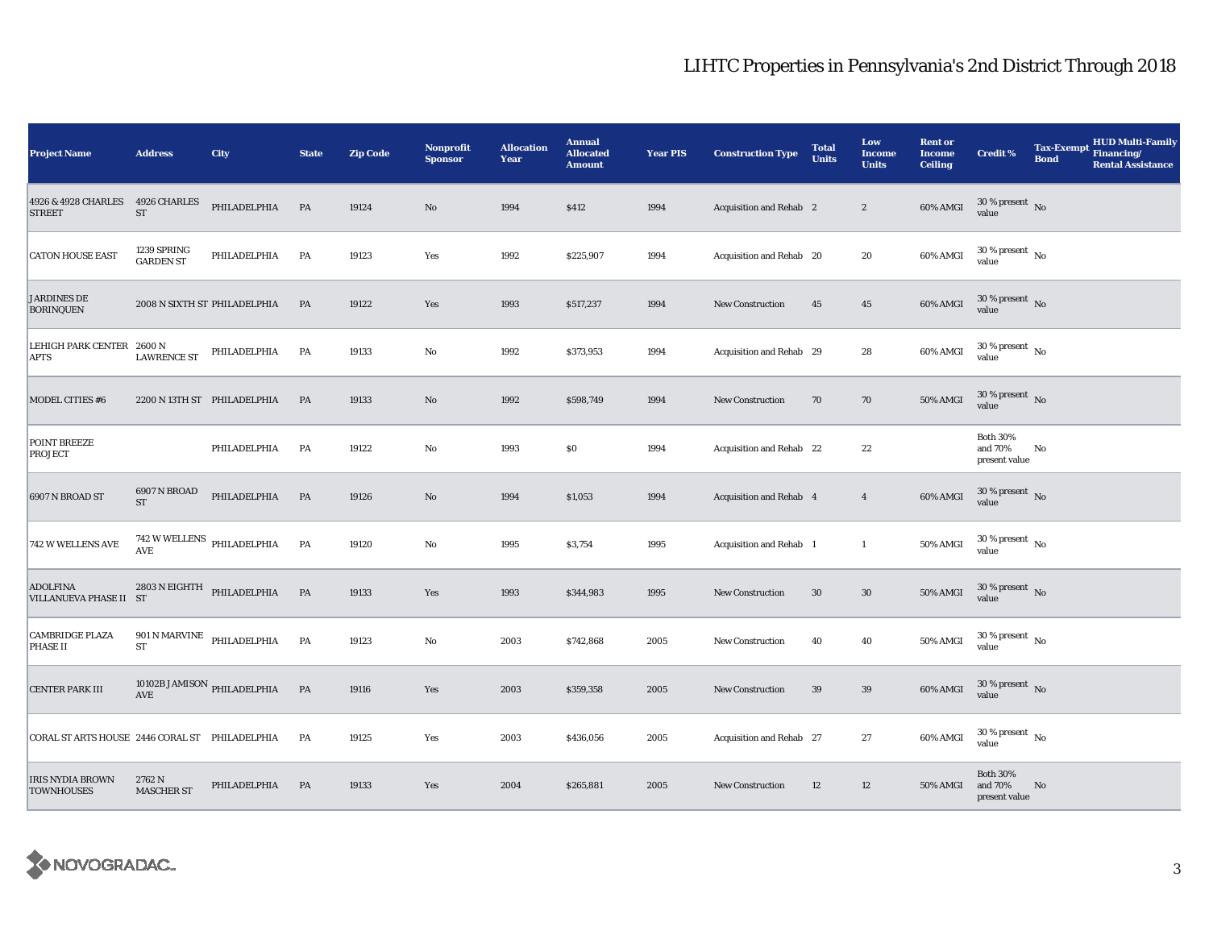| <b>Project Name</b>                            | <b>Address</b>                  | City                              | <b>State</b>  | <b>Zip Code</b> | <b>Nonprofit</b><br><b>Sponsor</b> | <b>Allocation</b><br>Year | <b>Annual</b><br><b>Allocated</b><br><b>Amount</b> | <b>Year PIS</b> | <b>Construction Type</b> | <b>Total</b><br><b>Units</b> | Low<br><b>Income</b><br><b>Units</b> | <b>Rent or</b><br><b>Income</b><br><b>Ceiling</b> | <b>Credit %</b>                             | <b>Tax-Exempt</b><br><b>Bond</b> | HUD Multi-Family<br>Financing/<br><b>Rental Assistance</b> |
|------------------------------------------------|---------------------------------|-----------------------------------|---------------|-----------------|------------------------------------|---------------------------|----------------------------------------------------|-----------------|--------------------------|------------------------------|--------------------------------------|---------------------------------------------------|---------------------------------------------|----------------------------------|------------------------------------------------------------|
| 4926 & 4928 CHARLES<br><b>STREET</b>           | 4926 CHARLES<br>${\rm ST}$      | PHILADELPHIA                      | PA            | 19124           | $\rm No$                           | 1994                      | \$412                                              | 1994            | Acquisition and Rehab 2  |                              | $\boldsymbol{2}$                     | 60% AMGI                                          | $30$ % present $\,$ No $\,$<br>value        |                                  |                                                            |
| <b>CATON HOUSE EAST</b>                        | 1239 SPRING<br><b>GARDEN ST</b> | PHILADELPHIA                      | PA            | 19123           | Yes                                | 1992                      | \$225,907                                          | 1994            | Acquisition and Rehab 20 |                              | 20                                   | 60% AMGI                                          | $30\,\%$ present $\,$ No $\,$<br>value      |                                  |                                                            |
| <b>JARDINES DE</b><br><b>BORINQUEN</b>         |                                 | 2008 N SIXTH ST PHILADELPHIA      | PA            | 19122           | Yes                                | 1993                      | \$517,237                                          | 1994            | <b>New Construction</b>  | 45                           | $45\,$                               | 60% AMGI                                          | $30\,\%$ present $\,$ No value              |                                  |                                                            |
| LEHIGH PARK CENTER 2600 N<br><b>APTS</b>       | <b>LAWRENCE ST</b>              | PHILADELPHIA                      | PA            | 19133           | No                                 | 1992                      | \$373,953                                          | 1994            | Acquisition and Rehab 29 |                              | 28                                   | 60% AMGI                                          | $30\,\%$ present $\,$ No $\,$<br>value      |                                  |                                                            |
| <b>MODEL CITIES #6</b>                         |                                 | 2200 N 13TH ST PHILADELPHIA       | PA            | 19133           | $\rm\thinspace No$                 | 1992                      | \$598,749                                          | 1994            | <b>New Construction</b>  | 70                           | 70                                   | 50% AMGI                                          | $30$ % present $\,$ No $\,$<br>value        |                                  |                                                            |
| POINT BREEZE<br><b>PROJECT</b>                 |                                 | PHILADELPHIA                      | PA            | 19122           | No                                 | 1993                      | \$O                                                | 1994            | Acquisition and Rehab 22 |                              | 22                                   |                                                   | <b>Both 30%</b><br>and 70%<br>present value | No                               |                                                            |
| 6907 N BROAD ST                                | 6907 N BROAD<br><b>ST</b>       | PHILADELPHIA                      | PA            | 19126           | $\rm No$                           | 1994                      | \$1,053                                            | 1994            | Acquisition and Rehab 4  |                              | $\overline{4}$                       | 60% AMGI                                          | $30\,\%$ present $\,$ No $\,$<br>value      |                                  |                                                            |
| 742 W WELLENS AVE                              | AVE                             | $742$ W WELLENS $\,$ PHILADELPHIA | PA            | 19120           | $\rm No$                           | 1995                      | \$3,754                                            | 1995            | Acquisition and Rehab 1  |                              | $\mathbf{1}$                         | 50% AMGI                                          | $30$ % present $\,$ No $\,$<br>value        |                                  |                                                            |
| <b>ADOLFINA</b><br>VILLANUEVA PHASE II ST      |                                 | $2803$ N EIGHTH PHILADELPHIA      | $\mathbf{PA}$ | 19133           | Yes                                | 1993                      | \$344,983                                          | 1995            | <b>New Construction</b>  | $30\,$                       | $30\,$                               | 50% AMGI                                          | $30\,\%$ present $\,$ No value              |                                  |                                                            |
| <b>CAMBRIDGE PLAZA</b><br><b>PHASE II</b>      | <b>ST</b>                       | $901$ N MARVINE $\,$ PHILADELPHIA | PA            | 19123           | $\rm No$                           | 2003                      | \$742,868                                          | 2005            | <b>New Construction</b>  | 40                           | 40                                   | 50% AMGI                                          | $30\,\%$ present $_{\rm No}$<br>value       |                                  |                                                            |
| <b>CENTER PARK III</b>                         | <b>AVE</b>                      | 10102B JAMISON PHILADELPHIA       | PA            | 19116           | Yes                                | 2003                      | \$359,358                                          | 2005            | <b>New Construction</b>  | 39                           | 39                                   | 60% AMGI                                          | $30\,\%$ present $\,$ No value              |                                  |                                                            |
| CORAL ST ARTS HOUSE 2446 CORAL ST PHILADELPHIA |                                 |                                   | PA            | 19125           | Yes                                | 2003                      | \$436,056                                          | 2005            | Acquisition and Rehab 27 |                              | 27                                   | 60% AMGI                                          | $30\,\%$ present $\,$ No value              |                                  |                                                            |
| <b>IRIS NYDIA BROWN</b><br><b>TOWNHOUSES</b>   | 2762 N<br><b>MASCHER ST</b>     | PHILADELPHIA                      | PA            | 19133           | Yes                                | 2004                      | \$265,881                                          | 2005            | <b>New Construction</b>  | 12                           | 12                                   | 50% AMGI                                          | <b>Both 30%</b><br>and 70%<br>present value | No.                              |                                                            |

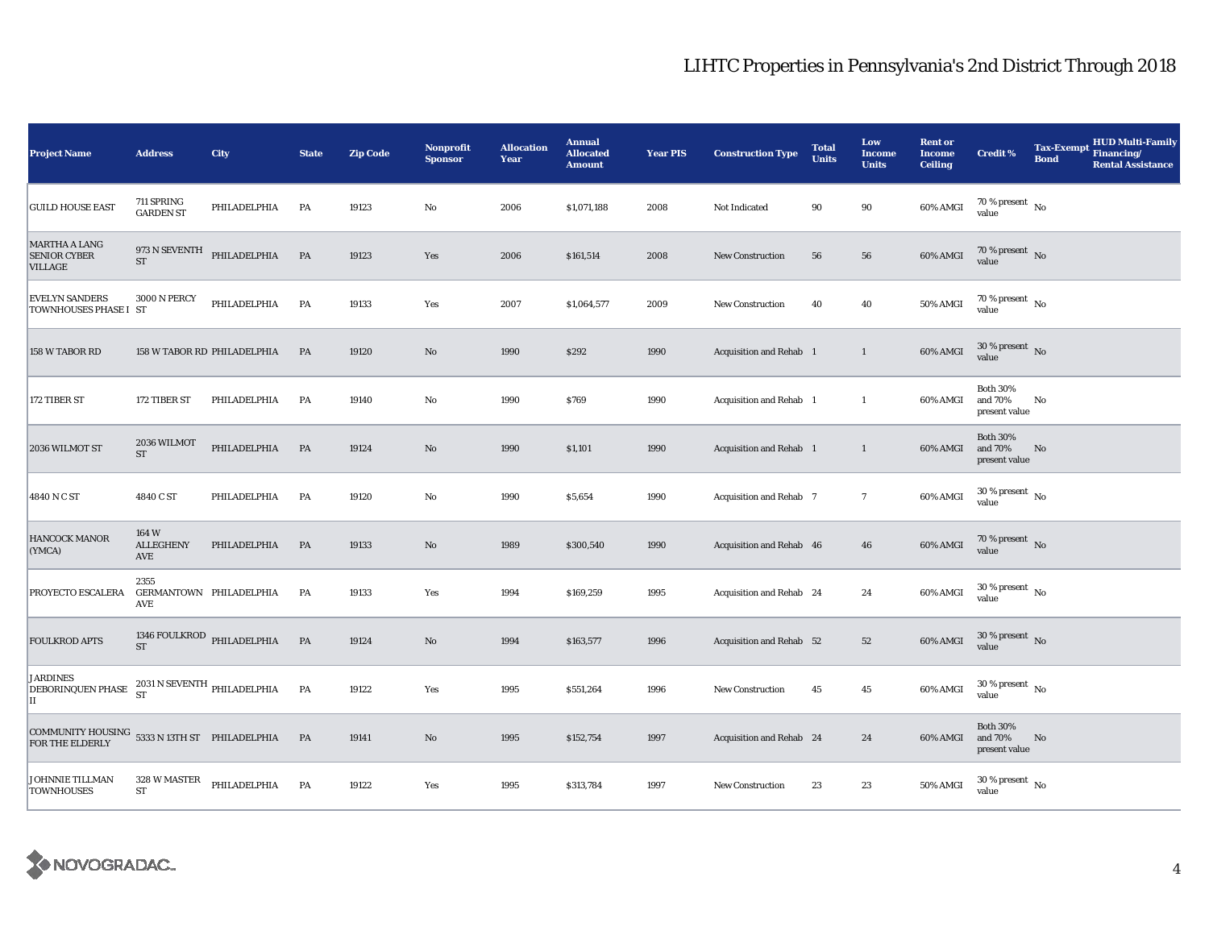| <b>Project Name</b>                                              | <b>Address</b>                                       | City                        | <b>State</b> | <b>Zip Code</b> | <b>Nonprofit</b><br><b>Sponsor</b> | <b>Allocation</b><br>Year | <b>Annual</b><br><b>Allocated</b><br><b>Amount</b> | <b>Year PIS</b> | <b>Construction Type</b> | <b>Total</b><br><b>Units</b> | Low<br><b>Income</b><br><b>Units</b> | <b>Rent or</b><br><b>Income</b><br><b>Ceiling</b> | <b>Credit %</b>                             | <b>Tax-Exempt</b><br><b>Bond</b> | <b>HUD Multi-Family</b><br>Financing/<br><b>Rental Assistance</b> |
|------------------------------------------------------------------|------------------------------------------------------|-----------------------------|--------------|-----------------|------------------------------------|---------------------------|----------------------------------------------------|-----------------|--------------------------|------------------------------|--------------------------------------|---------------------------------------------------|---------------------------------------------|----------------------------------|-------------------------------------------------------------------|
| <b>GUILD HOUSE EAST</b>                                          | 711 SPRING<br><b>GARDEN ST</b>                       | PHILADELPHIA                | PA           | 19123           | $\mathbf{No}$                      | 2006                      | \$1,071,188                                        | 2008            | Not Indicated            | 90                           | 90                                   | 60% AMGI                                          | 70 % present $\hbox{~No}$<br>value          |                                  |                                                                   |
| <b>MARTHA A LANG</b><br><b>SENIOR CYBER</b><br><b>VILLAGE</b>    | <b>ST</b>                                            | 973 N SEVENTH PHILADELPHIA  | PA           | 19123           | Yes                                | 2006                      | \$161,514                                          | 2008            | New Construction         | 56                           | 56                                   | 60% AMGI                                          | $70$ % present $\,$ No $\,$<br>value        |                                  |                                                                   |
| <b>EVELYN SANDERS</b><br>TOWNHOUSES PHASE I ST                   | <b>3000 N PERCY</b>                                  | PHILADELPHIA                | PA           | 19133           | Yes                                | 2007                      | \$1,064,577                                        | 2009            | New Construction         | 40                           | 40                                   | 50% AMGI                                          | $70\,\%$ present $\,$ No value              |                                  |                                                                   |
| 158 W TABOR RD                                                   |                                                      | 158 W TABOR RD PHILADELPHIA | PA           | 19120           | $\mathbf{N}\mathbf{o}$             | 1990                      | \$292                                              | 1990            | Acquisition and Rehab 1  |                              | $\mathbf{1}$                         | 60% AMGI                                          | $30\,\%$ present $\,$ No $\,$<br>value      |                                  |                                                                   |
| 172 TIBER ST                                                     | 172 TIBER ST                                         | PHILADELPHIA                | PA           | 19140           | No                                 | 1990                      | \$769                                              | 1990            | Acquisition and Rehab 1  |                              | $\mathbf{1}$                         | 60% AMGI                                          | <b>Both 30%</b><br>and 70%<br>present value | No                               |                                                                   |
| 2036 WILMOT ST                                                   | 2036 WILMOT<br>${\rm ST}$                            | PHILADELPHIA                | PA           | 19124           | $\rm No$                           | 1990                      | \$1,101                                            | 1990            | Acquisition and Rehab 1  |                              | $\mathbf{1}$                         | 60% AMGI                                          | <b>Both 30%</b><br>and 70%<br>present value | No                               |                                                                   |
| 4840 N C ST                                                      | 4840 C ST                                            | PHILADELPHIA                | PA           | 19120           | No                                 | 1990                      | \$5,654                                            | 1990            | Acquisition and Rehab 7  |                              | $\boldsymbol{7}$                     | 60% AMGI                                          | $30\,\%$ present $\,$ No $\,$<br>value      |                                  |                                                                   |
| <b>HANCOCK MANOR</b><br>(YMCA)                                   | 164 W<br><b>ALLEGHENY</b><br>AVE                     | PHILADELPHIA                | PA           | 19133           | $\rm No$                           | 1989                      | \$300,540                                          | 1990            | Acquisition and Rehab 46 |                              | 46                                   | 60% AMGI                                          | 70 % present $\,$ No $\,$<br>value          |                                  |                                                                   |
| PROYECTO ESCALERA                                                | 2355<br>GERMANTOWN PHILADELPHIA<br>AVE               |                             | PA           | 19133           | Yes                                | 1994                      | \$169,259                                          | 1995            | Acquisition and Rehab 24 |                              | 24                                   | 60% AMGI                                          | $30$ % present $\,$ No $\,$<br>value        |                                  |                                                                   |
| <b>FOULKROD APTS</b>                                             | <b>ST</b>                                            | 1346 FOULKROD PHILADELPHIA  | PA           | 19124           | $\rm No$                           | 1994                      | \$163,577                                          | 1996            | Acquisition and Rehab 52 |                              | 52                                   | 60% AMGI                                          | $30\,\%$ present $\,$ No value              |                                  |                                                                   |
| <b>JARDINES</b><br><b>DEBORINQUEN PHASE</b><br>$\mathbf{II}$     | $2031\,\mathrm{N}\,\mathrm{SEVENTH}$ PHILADELPHIA ST |                             | PA           | 19122           | Yes                                | 1995                      | \$551,264                                          | 1996            | New Construction         | 45                           | 45                                   | 60% AMGI                                          | $30$ % present $\,$ No $\,$<br>value        |                                  |                                                                   |
| COMMUNITY HOUSING 5333 N 13TH ST PHILADELPHIA<br>FOR THE ELDERLY |                                                      |                             | PA           | 19141           | $\rm No$                           | 1995                      | \$152,754                                          | 1997            | Acquisition and Rehab 24 |                              | 24                                   | 60% AMGI                                          | <b>Both 30%</b><br>and 70%<br>present value | No                               |                                                                   |
| <b>JOHNNIE TILLMAN</b><br><b>TOWNHOUSES</b>                      | 328 W MASTER<br>${\rm ST}$                           | PHILADELPHIA                | PA           | 19122           | Yes                                | 1995                      | \$313,784                                          | 1997            | <b>New Construction</b>  | 23                           | 23                                   | 50% AMGI                                          | $30$ % present $\,$ No $\,$<br>value        |                                  |                                                                   |

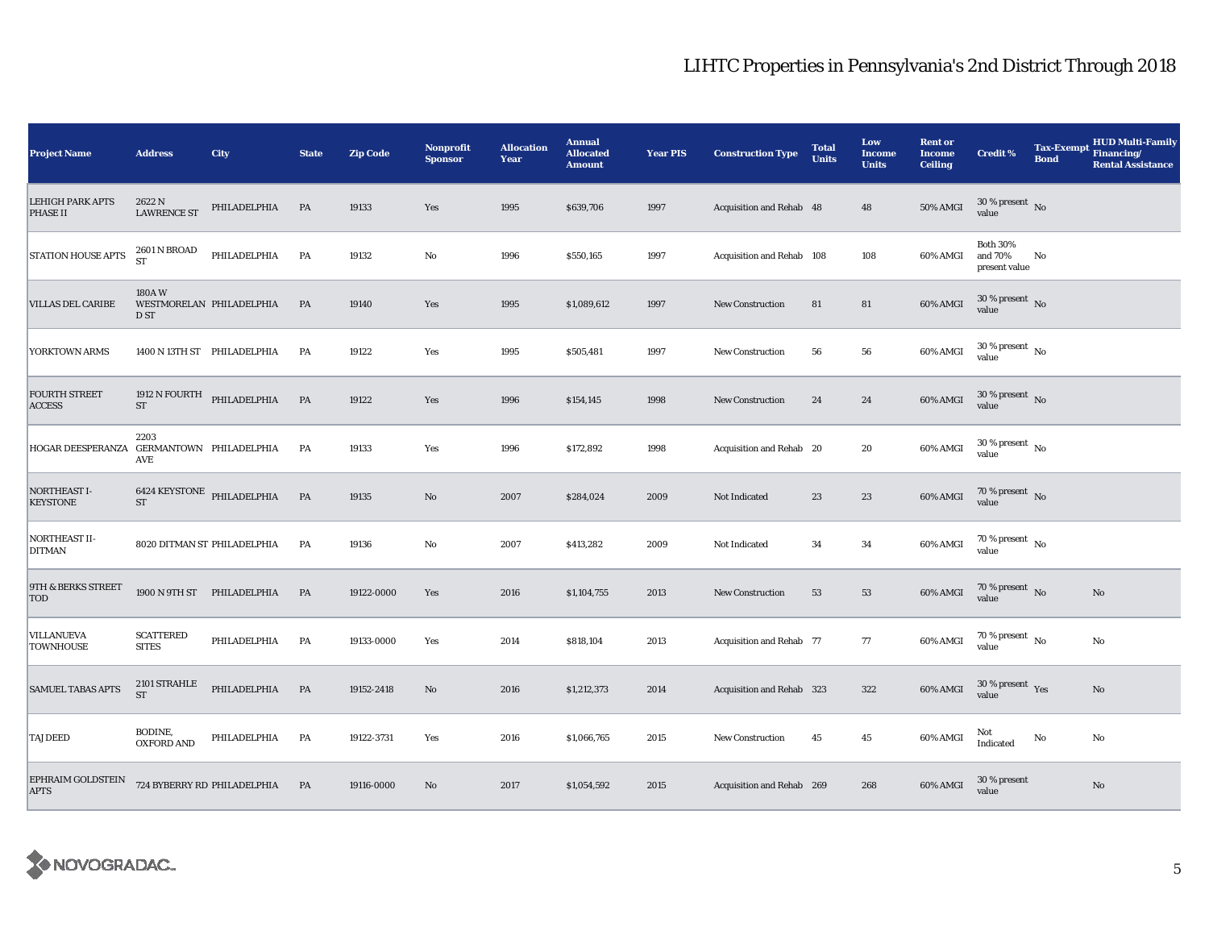| <b>Project Name</b>                        | <b>Address</b>                   | City                        | <b>State</b> | <b>Zip Code</b> | <b>Nonprofit</b><br><b>Sponsor</b> | <b>Allocation</b><br>Year | <b>Annual</b><br><b>Allocated</b><br><b>Amount</b> | <b>Year PIS</b> | <b>Construction Type</b>  | <b>Total</b><br><b>Units</b> | Low<br><b>Income</b><br><b>Units</b> | <b>Rent or</b><br><b>Income</b><br><b>Ceiling</b> | <b>Credit %</b>                             | <b>Tax-Exempt</b><br><b>Bond</b> | HUD Multi-Family<br>Financing/<br><b>Rental Assistance</b> |
|--------------------------------------------|----------------------------------|-----------------------------|--------------|-----------------|------------------------------------|---------------------------|----------------------------------------------------|-----------------|---------------------------|------------------------------|--------------------------------------|---------------------------------------------------|---------------------------------------------|----------------------------------|------------------------------------------------------------|
| <b>LEHIGH PARK APTS</b><br><b>PHASE II</b> | 2622 N<br><b>LAWRENCE ST</b>     | PHILADELPHIA                | PA           | 19133           | Yes                                | 1995                      | \$639,706                                          | 1997            | Acquisition and Rehab 48  |                              | 48                                   | 50% AMGI                                          | $30$ % present $\,$ No $\,$<br>value        |                                  |                                                            |
| <b>STATION HOUSE APTS</b>                  | <b>2601 N BROAD</b><br><b>ST</b> | PHILADELPHIA                | PA           | 19132           | $\rm No$                           | 1996                      | \$550,165                                          | 1997            | Acquisition and Rehab 108 |                              | 108                                  | 60% AMGI                                          | <b>Both 30%</b><br>and 70%<br>present value | No                               |                                                            |
| <b>VILLAS DEL CARIBE</b>                   | 180AW<br>D ST                    | WESTMORELAN PHILADELPHIA    | PA           | 19140           | Yes                                | 1995                      | \$1,089,612                                        | 1997            | <b>New Construction</b>   | 81                           | ${\bf 81}$                           | 60% AMGI                                          | $30\,\%$ present $\,$ No value              |                                  |                                                            |
| YORKTOWN ARMS                              |                                  | 1400 N 13TH ST PHILADELPHIA | PA           | 19122           | Yes                                | 1995                      | \$505,481                                          | 1997            | New Construction          | 56                           | 56                                   | 60% AMGI                                          | $30\,\%$ present $\,$ No $\,$<br>value      |                                  |                                                            |
| <b>FOURTH STREET</b><br><b>ACCESS</b>      | 1912 N FOURTH<br>${\rm ST}$      | PHILADELPHIA                | PA           | 19122           | Yes                                | 1996                      | \$154,145                                          | 1998            | <b>New Construction</b>   | 24                           | 24                                   | 60% AMGI                                          | $30$ % present $\,$ No $\,$<br>value        |                                  |                                                            |
| HOGAR DEESPERANZA GERMANTOWN PHILADELPHIA  | 2203<br>AVE                      |                             | PA           | 19133           | Yes                                | 1996                      | \$172,892                                          | 1998            | Acquisition and Rehab 20  |                              | 20                                   | 60% AMGI                                          | $30$ % present $\,$ No $\,$<br>value        |                                  |                                                            |
| <b>NORTHEAST I-</b><br><b>KEYSTONE</b>     | $\operatorname{ST}$              | 6424 KEYSTONE PHILADELPHIA  | PA           | 19135           | $\rm No$                           | 2007                      | \$284,024                                          | 2009            | Not Indicated             | 23                           | $\bf 23$                             | 60% AMGI                                          | $70\,\%$ present $\,$ No value              |                                  |                                                            |
| NORTHEAST II-<br><b>DITMAN</b>             |                                  | 8020 DITMAN ST PHILADELPHIA | PA           | 19136           | $\mathbf{No}$                      | 2007                      | \$413,282                                          | 2009            | Not Indicated             | 34                           | 34                                   | 60% AMGI                                          | $70$ % present $\,$ No $\,$<br>value        |                                  |                                                            |
| 9TH & BERKS STREET<br><b>TOD</b>           |                                  | 1900 N 9TH ST PHILADELPHIA  | PA           | 19122-0000      | Yes                                | 2016                      | \$1,104,755                                        | 2013            | New Construction          | 53                           | 53                                   | 60% AMGI                                          | 70 % present $\,$ No $\,$<br>value          |                                  | $\mathbf{No}$                                              |
| <b>VILLANUEVA</b><br><b>TOWNHOUSE</b>      | <b>SCATTERED</b><br><b>SITES</b> | PHILADELPHIA                | PA           | 19133-0000      | Yes                                | 2014                      | \$818,104                                          | 2013            | Acquisition and Rehab 77  |                              | 77                                   | 60% AMGI                                          | $70$ % present $\,$ No $\,$<br>value        |                                  | No                                                         |
| <b>SAMUEL TABAS APTS</b>                   | 2101 STRAHLE<br><b>ST</b>        | PHILADELPHIA                | PA           | 19152-2418      | $\rm No$                           | 2016                      | \$1,212,373                                        | 2014            | Acquisition and Rehab 323 |                              | 322                                  | 60% AMGI                                          | $30$ % present $\,$ $\rm Yes$<br>value      |                                  | $\mathbf{No}$                                              |
| <b>TAJDEED</b>                             | BODINE,<br><b>OXFORD AND</b>     | PHILADELPHIA                | PA           | 19122-3731      | Yes                                | 2016                      | \$1,066,765                                        | 2015            | <b>New Construction</b>   | 45                           | 45                                   | 60% AMGI                                          | Not<br>Indicated                            | No                               | No                                                         |
| EPHRAIM GOLDSTEIN<br><b>APTS</b>           |                                  | 724 BYBERRY RD PHILADELPHIA | PA           | 19116-0000      | No                                 | 2017                      | \$1,054,592                                        | 2015            | Acquisition and Rehab 269 |                              | 268                                  | 60% AMGI                                          | 30 % present<br>value                       |                                  | $\mathbf{No}$                                              |

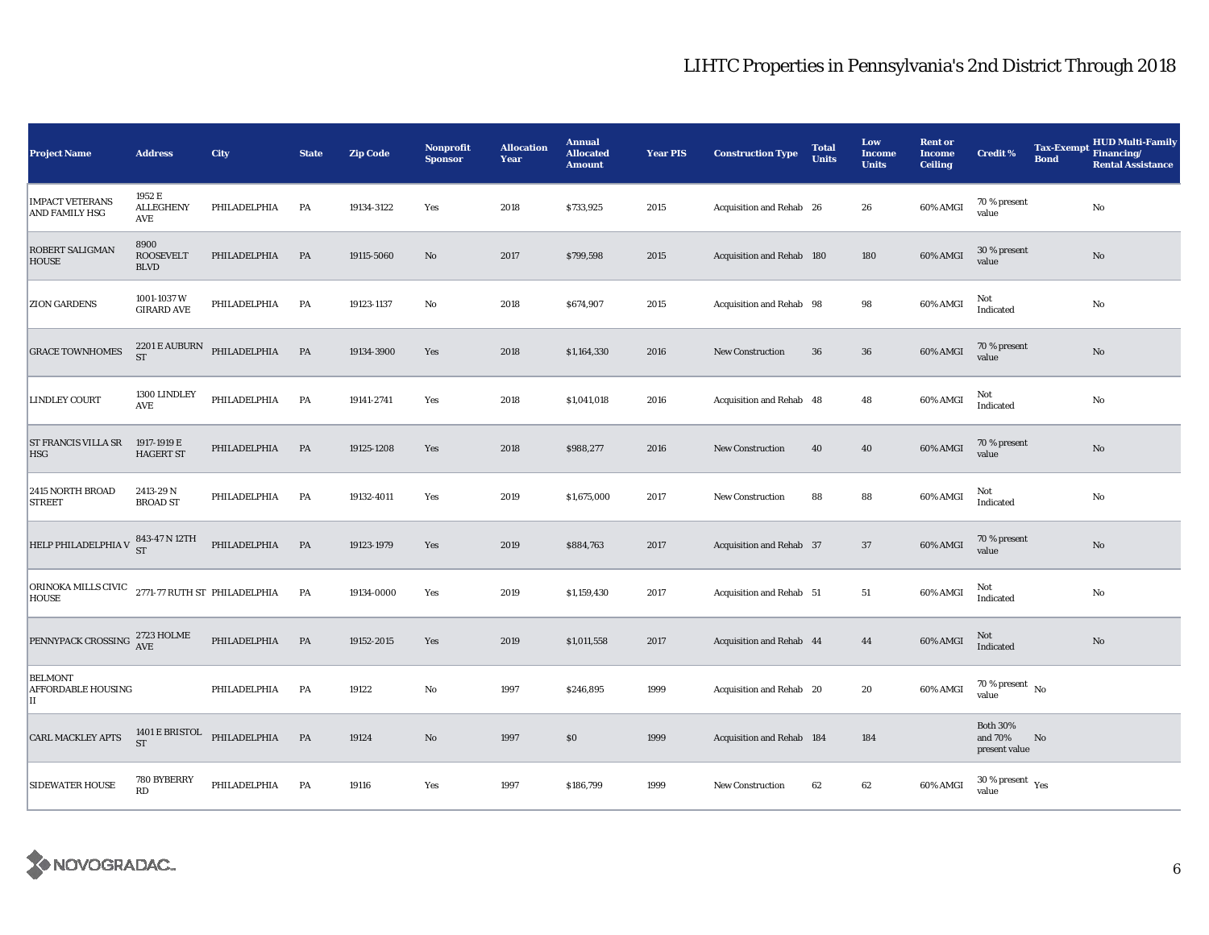| <b>Project Name</b>                                                                                  | <b>Address</b>                          | <b>City</b>  | <b>State</b> | <b>Zip Code</b> | <b>Nonprofit</b><br><b>Sponsor</b> | <b>Allocation</b><br>Year | <b>Annual</b><br><b>Allocated</b><br><b>Amount</b> | <b>Year PIS</b> | <b>Construction Type</b>  | <b>Total</b><br><b>Units</b> | Low<br><b>Income</b><br><b>Units</b> | <b>Rent or</b><br><b>Income</b><br><b>Ceiling</b> | <b>Credit %</b>                                   | <b>Tax-Exempt</b><br><b>Bond</b> | <b>HUD Multi-Family</b><br>Financing/<br><b>Rental Assistance</b> |
|------------------------------------------------------------------------------------------------------|-----------------------------------------|--------------|--------------|-----------------|------------------------------------|---------------------------|----------------------------------------------------|-----------------|---------------------------|------------------------------|--------------------------------------|---------------------------------------------------|---------------------------------------------------|----------------------------------|-------------------------------------------------------------------|
| <b>IMPACT VETERANS</b><br><b>AND FAMILY HSG</b>                                                      | 1952 E<br><b>ALLEGHENY</b><br>AVE       | PHILADELPHIA | PA           | 19134-3122      | Yes                                | 2018                      | \$733,925                                          | 2015            | Acquisition and Rehab 26  |                              | 26                                   | 60% AMGI                                          | 70 % present<br>value                             |                                  | $\rm No$                                                          |
| <b>ROBERT SALIGMAN</b><br><b>HOUSE</b>                                                               | 8900<br><b>ROOSEVELT</b><br><b>BLVD</b> | PHILADELPHIA | PA           | 19115-5060      | $\rm No$                           | 2017                      | \$799,598                                          | 2015            | Acquisition and Rehab 180 |                              | 180                                  | 60% AMGI                                          | 30 % present<br>value                             |                                  | $\rm No$                                                          |
| <b>ZION GARDENS</b>                                                                                  | 1001-1037 W<br><b>GIRARD AVE</b>        | PHILADELPHIA | PA           | 19123-1137      | No                                 | 2018                      | \$674,907                                          | 2015            | Acquisition and Rehab 98  |                              | 98                                   | 60% AMGI                                          | Not<br>Indicated                                  |                                  | $\mathbf{No}$                                                     |
| <b>GRACE TOWNHOMES</b>                                                                               | 2201 E AUBURN<br><b>ST</b>              | PHILADELPHIA | PA           | 19134-3900      | Yes                                | 2018                      | \$1,164,330                                        | 2016            | <b>New Construction</b>   | 36                           | 36                                   | 60% AMGI                                          | 70 % present<br>value                             |                                  | $\mathbf{No}$                                                     |
| <b>LINDLEY COURT</b>                                                                                 | 1300 LINDLEY<br>AVE                     | PHILADELPHIA | PA           | 19141-2741      | Yes                                | 2018                      | \$1,041,018                                        | 2016            | Acquisition and Rehab 48  |                              | 48                                   | 60% AMGI                                          | Not<br>Indicated                                  |                                  | $\rm No$                                                          |
| <b>ST FRANCIS VILLA SR</b><br><b>HSG</b>                                                             | 1917-1919 E<br><b>HAGERT ST</b>         | PHILADELPHIA | PA           | 19125-1208      | Yes                                | 2018                      | \$988,277                                          | 2016            | <b>New Construction</b>   | 40                           | 40                                   | 60% AMGI                                          | 70 % present<br>value                             |                                  | $\mathbf{No}$                                                     |
| 2415 NORTH BROAD<br><b>STREET</b>                                                                    | 2413-29 N<br><b>BROAD ST</b>            | PHILADELPHIA | PA           | 19132-4011      | Yes                                | 2019                      | \$1,675,000                                        | 2017            | <b>New Construction</b>   | 88                           | 88                                   | 60% AMGI                                          | Not<br>Indicated                                  |                                  | $\rm No$                                                          |
| HELP PHILADELPHIA V $\begin{array}{c} 843\text{-}47\,\text{N}\ 12\text{TH} \\ \text{ST} \end{array}$ |                                         | PHILADELPHIA | PA           | 19123-1979      | Yes                                | 2019                      | \$884,763                                          | 2017            | Acquisition and Rehab 37  |                              | 37                                   | 60% AMGI                                          | 70 % present<br>value                             |                                  | $\rm No$                                                          |
| ORINOKA MILLS CIVIC 2771-77 RUTH ST PHILADELPHIA<br><b>HOUSE</b>                                     |                                         |              | PA           | 19134-0000      | Yes                                | 2019                      | \$1,159,430                                        | 2017            | Acquisition and Rehab 51  |                              | 51                                   | 60% AMGI                                          | Not<br>Indicated                                  |                                  | $\rm No$                                                          |
| PENNYPACK CROSSING 2723 HOLME                                                                        |                                         | PHILADELPHIA | PA           | 19152-2015      | Yes                                | 2019                      | \$1,011,558                                        | 2017            | Acquisition and Rehab 44  |                              | 44                                   | 60% AMGI                                          | Not<br>Indicated                                  |                                  | $\rm No$                                                          |
| <b>BELMONT</b><br><b>AFFORDABLE HOUSING</b><br>П                                                     |                                         | PHILADELPHIA | PA           | 19122           | No                                 | 1997                      | \$246,895                                          | 1999            | Acquisition and Rehab 20  |                              | 20                                   | 60% AMGI                                          | 70 % present $\hbox{~No}$<br>value                |                                  |                                                                   |
| <b>CARL MACKLEY APTS</b>                                                                             | 1401 E BRISTOL<br><b>ST</b>             | PHILADELPHIA | PA           | 19124           | $\rm No$                           | 1997                      | \$0                                                | 1999            | Acquisition and Rehab 184 |                              | 184                                  |                                                   | <b>Both 30%</b><br>and 70%<br>No<br>present value |                                  |                                                                   |
| <b>SIDEWATER HOUSE</b>                                                                               | 780 BYBERRY<br>RD                       | PHILADELPHIA | PA           | 19116           | Yes                                | 1997                      | \$186,799                                          | 1999            | <b>New Construction</b>   | 62                           | 62                                   | 60% AMGI                                          | $30$ % present $\,$ $\rm Yes$<br>value            |                                  |                                                                   |

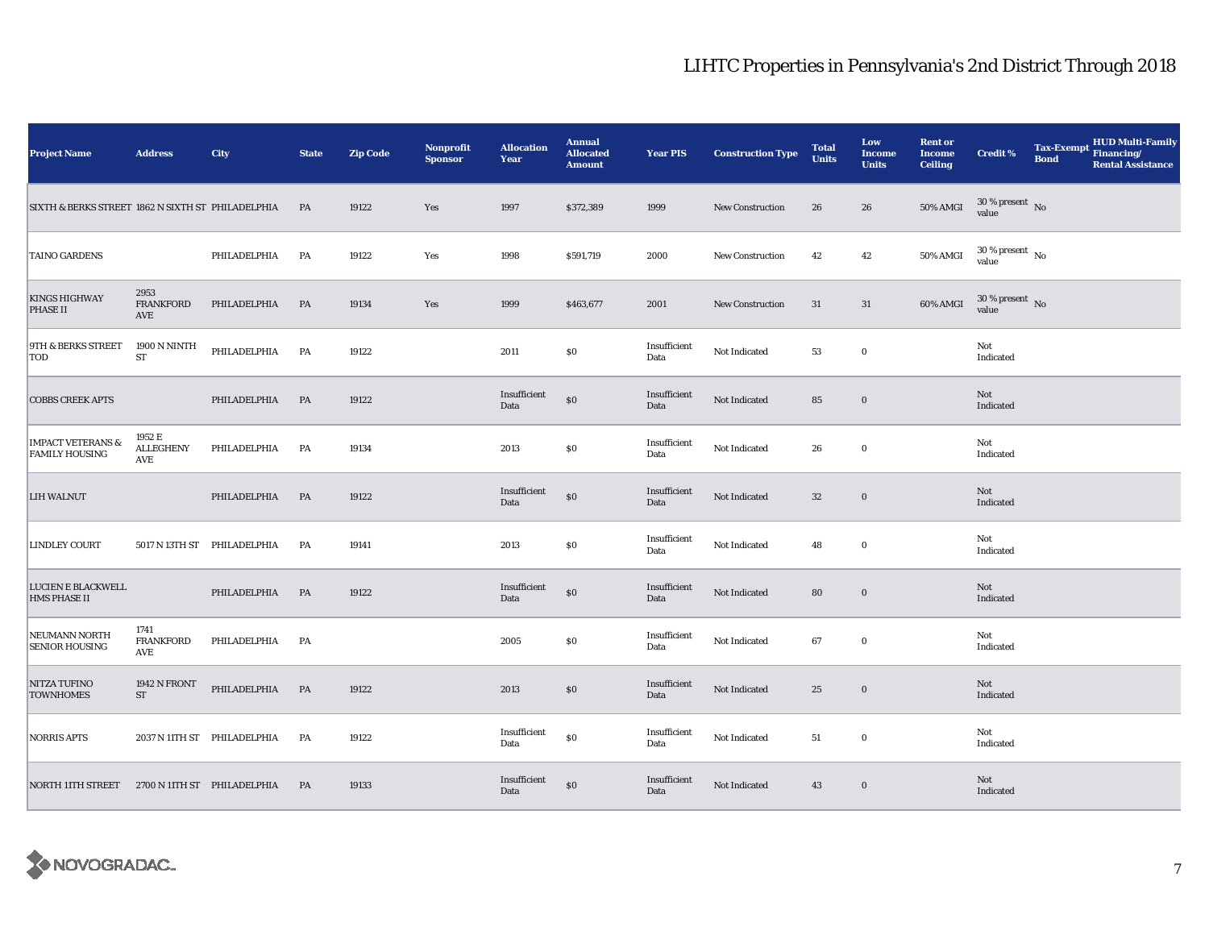| <b>Project Name</b>                                   | <b>Address</b>                             | City                        | <b>State</b> | <b>Zip Code</b> | Nonprofit<br><b>Sponsor</b> | <b>Allocation</b><br>Year | <b>Annual</b><br><b>Allocated</b><br><b>Amount</b> | <b>Year PIS</b>      | <b>Construction Type</b> | <b>Total</b><br><b>Units</b> | Low<br><b>Income</b><br><b>Units</b> | <b>Rent or</b><br><b>Income</b><br><b>Ceiling</b> | <b>Credit %</b>                        | <b>Bond</b> | Tax-Exempt HUD Multi-Family<br><b>Rental Assistance</b> |
|-------------------------------------------------------|--------------------------------------------|-----------------------------|--------------|-----------------|-----------------------------|---------------------------|----------------------------------------------------|----------------------|--------------------------|------------------------------|--------------------------------------|---------------------------------------------------|----------------------------------------|-------------|---------------------------------------------------------|
| SIXTH & BERKS STREET 1862 N SIXTH ST PHILADELPHIA     |                                            |                             | - PA         | 19122           | Yes                         | 1997                      | \$372,389                                          | 1999                 | <b>New Construction</b>  | 26                           | 26                                   | <b>50% AMGI</b>                                   | $30\,\%$ present $\,$ No value         |             |                                                         |
| <b>TAINO GARDENS</b>                                  |                                            | PHILADELPHIA                | PA           | 19122           | Yes                         | 1998                      | \$591,719                                          | 2000                 | <b>New Construction</b>  | 42                           | 42                                   | 50% AMGI                                          | $30\,\%$ present $\,$ No $\,$<br>value |             |                                                         |
| <b>KINGS HIGHWAY</b><br><b>PHASE II</b>               | 2953<br><b>FRANKFORD</b><br>AVE            | PHILADELPHIA                | <b>PA</b>    | 19134           | Yes                         | 1999                      | \$463,677                                          | 2001                 | <b>New Construction</b>  | 31                           | 31                                   | 60% AMGI                                          | $30\,\%$ present $\,$ No value         |             |                                                         |
| 9TH & BERKS STREET<br>TOD                             | 1900 N NINTH<br>${\rm ST}$                 | PHILADELPHIA                | PA           | 19122           |                             | 2011                      | $\$0$                                              | Insufficient<br>Data | Not Indicated            | 53                           | $\bf{0}$                             |                                                   | Not<br>Indicated                       |             |                                                         |
| <b>COBBS CREEK APTS</b>                               |                                            | PHILADELPHIA                | PA           | 19122           |                             | Insufficient<br>Data      | $\$0$                                              | Insufficient<br>Data | Not Indicated            | 85                           | $\boldsymbol{0}$                     |                                                   | Not<br>Indicated                       |             |                                                         |
| <b>IMPACT VETERANS &amp;</b><br><b>FAMILY HOUSING</b> | 1952 E<br><b>ALLEGHENY</b><br>AVE          | PHILADELPHIA                | PA           | 19134           |                             | 2013                      | \$0                                                | Insufficient<br>Data | Not Indicated            | 26                           | $\bf{0}$                             |                                                   | Not<br>Indicated                       |             |                                                         |
| <b>LIH WALNUT</b>                                     |                                            | PHILADELPHIA                | <b>PA</b>    | 19122           |                             | Insufficient<br>Data      | $\$0$                                              | Insufficient<br>Data | Not Indicated            | 32                           | $\boldsymbol{0}$                     |                                                   | Not<br>Indicated                       |             |                                                         |
| LINDLEY COURT                                         |                                            | 5017 N 13TH ST PHILADELPHIA | PA           | 19141           |                             | 2013                      | $\$0$                                              | Insufficient<br>Data | Not Indicated            | 48                           | $\bf{0}$                             |                                                   | Not<br>Indicated                       |             |                                                         |
| LUCIEN E BLACKWELL<br><b>HMS PHASE II</b>             |                                            | PHILADELPHIA                | <b>PA</b>    | 19122           |                             | Insufficient<br>Data      | $\$0$                                              | Insufficient<br>Data | Not Indicated            | 80                           | $\bf{0}$                             |                                                   | Not<br>Indicated                       |             |                                                         |
| NEUMANN NORTH<br><b>SENIOR HOUSING</b>                | 1741<br><b>FRANKFORD</b><br>AVE            | PHILADELPHIA                | PA           |                 |                             | 2005                      | \$0                                                | Insufficient<br>Data | Not Indicated            | 67                           | $\bf{0}$                             |                                                   | Not<br>Indicated                       |             |                                                         |
| NITZA TUFINO<br><b>TOWNHOMES</b>                      | <b>1942 N FRONT</b><br>$\operatorname{ST}$ | PHILADELPHIA                | <b>PA</b>    | 19122           |                             | 2013                      | \$0                                                | Insufficient<br>Data | Not Indicated            | $\bf 25$                     | $\bf{0}$                             |                                                   | Not<br>Indicated                       |             |                                                         |
| <b>NORRIS APTS</b>                                    |                                            | 2037 N 11TH ST PHILADELPHIA | PA           | 19122           |                             | Insufficient<br>Data      | $\$0$                                              | Insufficient<br>Data | Not Indicated            | 51                           | $\mathbf 0$                          |                                                   | Not<br>Indicated                       |             |                                                         |
| NORTH 11TH STREET 2700 N 11TH ST PHILADELPHIA         |                                            |                             | <b>PA</b>    | 19133           |                             | Insufficient<br>Data      | $\$0$                                              | Insufficient<br>Data | Not Indicated            | 43                           | $\bf{0}$                             |                                                   | Not<br>Indicated                       |             |                                                         |

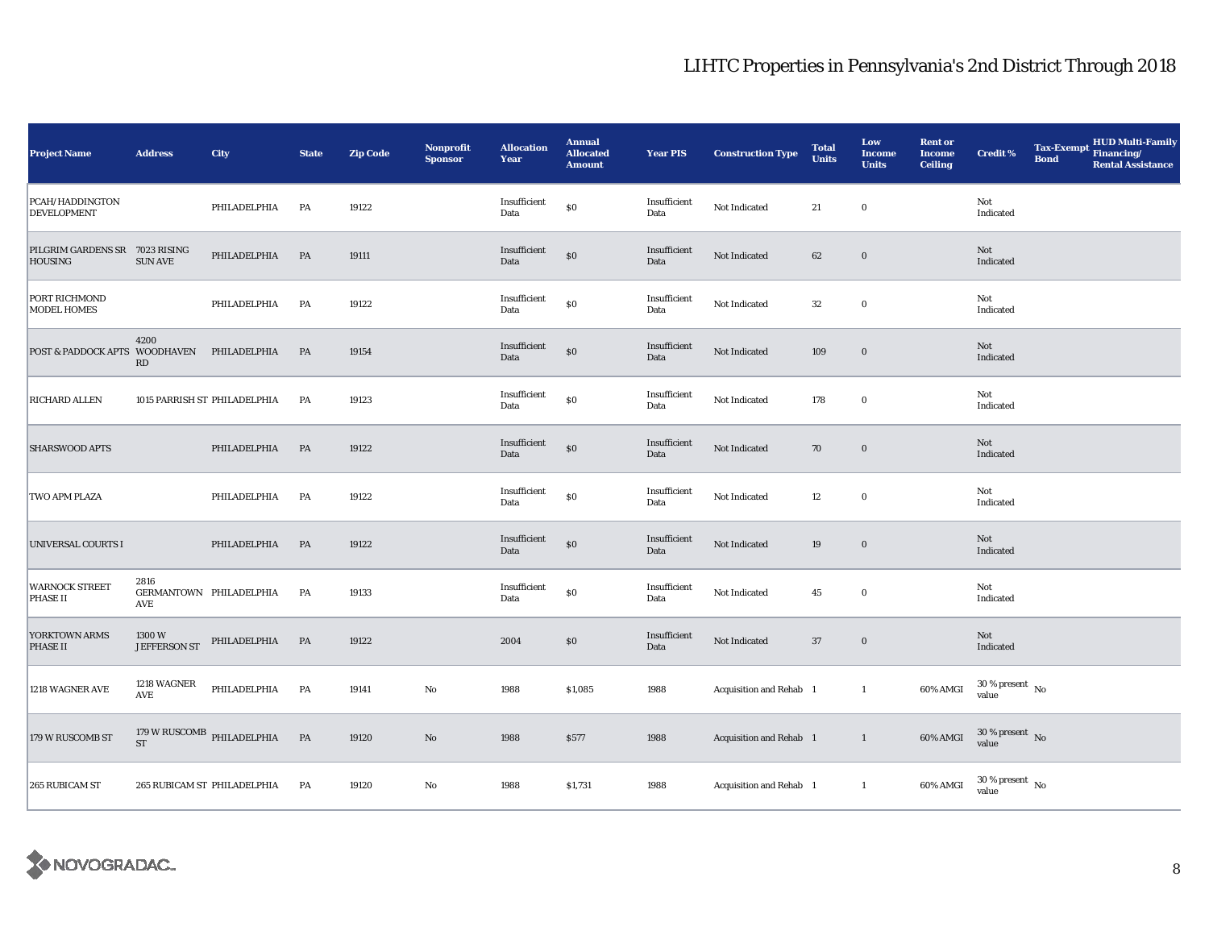| <b>Project Name</b>                              | <b>Address</b>        | City                                                | <b>State</b>  | <b>Zip Code</b> | <b>Nonprofit</b><br><b>Sponsor</b> | <b>Allocation</b><br>Year | <b>Annual</b><br><b>Allocated</b><br><b>Amount</b> | <b>Year PIS</b>      | <b>Construction Type</b> | <b>Total</b><br><b>Units</b> | Low<br><b>Income</b><br><b>Units</b> | <b>Rent or</b><br><b>Income</b><br><b>Ceiling</b> | Credit %                       | <b>Bond</b> | Tax-Exempt HUD Multi-Family<br><b>Rental Assistance</b> |
|--------------------------------------------------|-----------------------|-----------------------------------------------------|---------------|-----------------|------------------------------------|---------------------------|----------------------------------------------------|----------------------|--------------------------|------------------------------|--------------------------------------|---------------------------------------------------|--------------------------------|-------------|---------------------------------------------------------|
| PCAH/HADDINGTON<br><b>DEVELOPMENT</b>            |                       | PHILADELPHIA                                        | PA            | 19122           |                                    | Insufficient<br>Data      | \$0                                                | Insufficient<br>Data | Not Indicated            | 21                           | $\bf{0}$                             |                                                   | Not<br>Indicated               |             |                                                         |
| PILGRIM GARDENS SR 7023 RISING<br><b>HOUSING</b> | <b>SUN AVE</b>        | PHILADELPHIA                                        | PA            | 19111           |                                    | Insufficient<br>Data      | \$0                                                | Insufficient<br>Data | Not Indicated            | 62                           | $\mathbf 0$                          |                                                   | Not<br>Indicated               |             |                                                         |
| PORT RICHMOND<br><b>MODEL HOMES</b>              |                       | PHILADELPHIA                                        | PA            | 19122           |                                    | Insufficient<br>Data      | ${\bf S0}$                                         | Insufficient<br>Data | Not Indicated            | 32                           | $\mathbf 0$                          |                                                   | Not<br>Indicated               |             |                                                         |
| POST & PADDOCK APTS WOODHAVEN                    | 4200<br>RD            | PHILADELPHIA                                        | PA            | 19154           |                                    | Insufficient<br>Data      | $\$0$                                              | Insufficient<br>Data | Not Indicated            | 109                          | $\bf{0}$                             |                                                   | Not<br>Indicated               |             |                                                         |
| <b>RICHARD ALLEN</b>                             |                       | 1015 PARRISH ST PHILADELPHIA                        | PA            | 19123           |                                    | Insufficient<br>Data      | $\$0$                                              | Insufficient<br>Data | Not Indicated            | 178                          | $\mathbf 0$                          |                                                   | Not<br>Indicated               |             |                                                         |
| <b>SHARSWOOD APTS</b>                            |                       | PHILADELPHIA                                        | PA            | 19122           |                                    | Insufficient<br>Data      | $\$0$                                              | Insufficient<br>Data | Not Indicated            | 70                           | $\bf{0}$                             |                                                   | Not<br>Indicated               |             |                                                         |
| TWO APM PLAZA                                    |                       | PHILADELPHIA                                        | PA            | 19122           |                                    | Insufficient<br>Data      | $\$0$                                              | Insufficient<br>Data | Not Indicated            | 12                           | $\mathbf 0$                          |                                                   | Not<br>Indicated               |             |                                                         |
| UNIVERSAL COURTS I                               |                       | PHILADELPHIA                                        | PA            | 19122           |                                    | Insufficient<br>Data      | \$0                                                | Insufficient<br>Data | Not Indicated            | 19                           | $\mathbf 0$                          |                                                   | Not<br>Indicated               |             |                                                         |
| <b>WARNOCK STREET</b><br><b>PHASE II</b>         | 2816<br>AVE           | GERMANTOWN PHILADELPHIA                             | PA            | 19133           |                                    | Insufficient<br>Data      | $\$0$                                              | Insufficient<br>Data | Not Indicated            | 45                           | $\bf{0}$                             |                                                   | Not<br>Indicated               |             |                                                         |
| YORKTOWN ARMS<br><b>PHASE II</b>                 | 1300W<br>JEFFERSON ST | PHILADELPHIA PA                                     |               | 19122           |                                    | 2004                      | $\$0$                                              | Insufficient<br>Data | Not Indicated            | 37                           | $\boldsymbol{0}$                     |                                                   | <b>Not</b><br>Indicated        |             |                                                         |
| 1218 WAGNER AVE                                  | 1218 WAGNER<br>AVE    | PHILADELPHIA                                        | PA            | 19141           | No                                 | 1988                      | \$1,085                                            | 1988                 | Acquisition and Rehab 1  |                              | $\mathbf{1}$                         | 60% AMGI                                          | $30\,\%$ present $\,$ No value |             |                                                         |
| 179 W RUSCOMB ST                                 |                       | $179\,\mathrm{W}\,\mathrm{RUSCOMB}$ PHILADELPHIA ST | $\mathbf{PA}$ | 19120           | $\rm No$                           | 1988                      | \$577                                              | 1988                 | Acquisition and Rehab 1  |                              | $\overline{1}$                       | 60% AMGI                                          | $30\,\%$ present $\,$ No value |             |                                                         |
| 265 RUBICAM ST                                   |                       | 265 RUBICAM ST PHILADELPHIA                         | PA            | 19120           | No                                 | 1988                      | \$1,731                                            | 1988                 | Acquisition and Rehab 1  |                              | $\mathbf{1}$                         | 60% AMGI                                          | $30\,\%$ present $\,$ No value |             |                                                         |

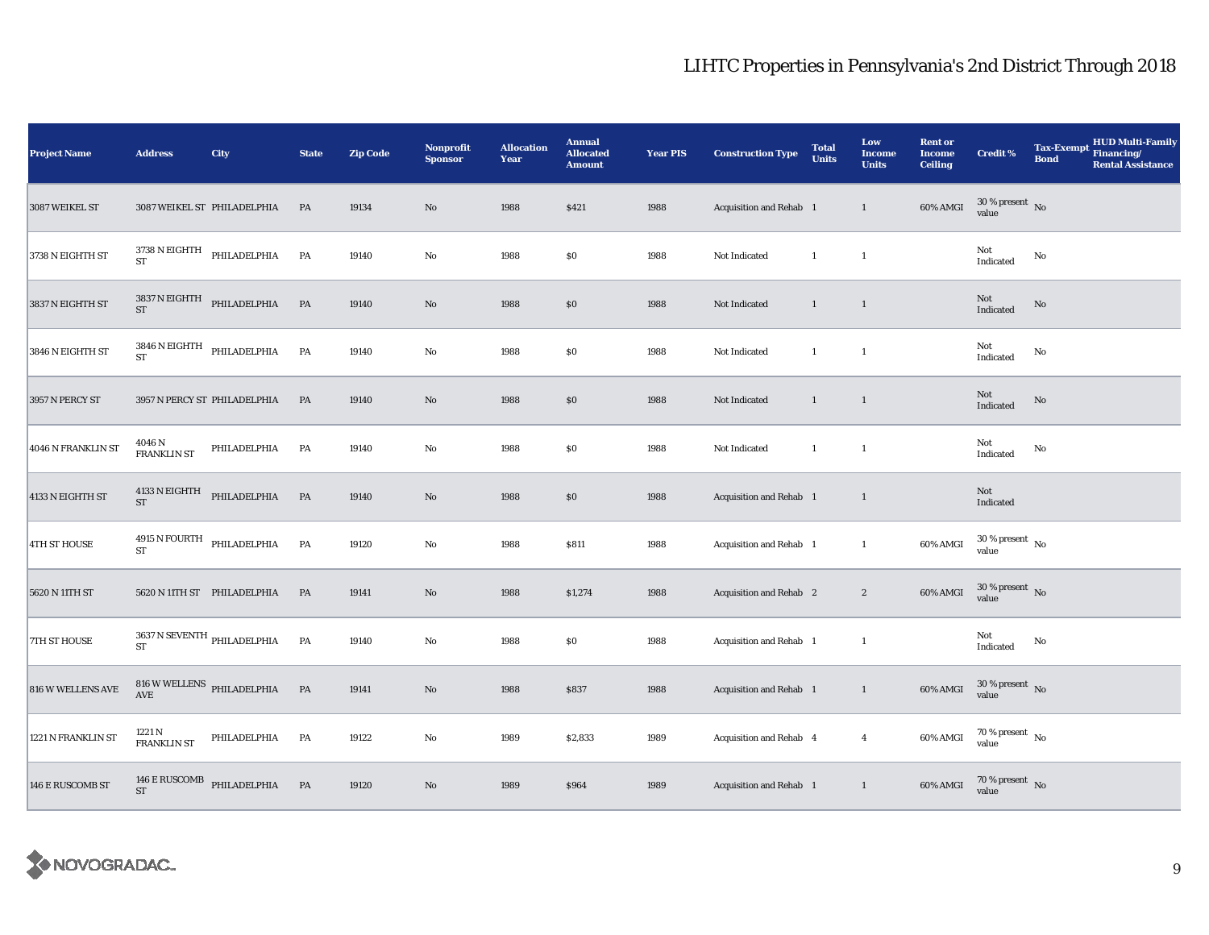| <b>Project Name</b> | <b>Address</b>        | City                                      | <b>State</b> | <b>Zip Code</b> | <b>Nonprofit</b><br><b>Sponsor</b> | <b>Allocation</b><br>Year | <b>Annual</b><br><b>Allocated</b><br><b>Amount</b> | <b>Year PIS</b> | <b>Construction Type</b> | <b>Total</b><br><b>Units</b> | Low<br><b>Income</b><br><b>Units</b> | <b>Rent or</b><br><b>Income</b><br><b>Ceiling</b> | <b>Credit %</b>                            | <b>Tax-Exempt</b><br><b>Bond</b> | HUD Multi-Family<br>Financing/<br><b>Rental Assistance</b> |
|---------------------|-----------------------|-------------------------------------------|--------------|-----------------|------------------------------------|---------------------------|----------------------------------------------------|-----------------|--------------------------|------------------------------|--------------------------------------|---------------------------------------------------|--------------------------------------------|----------------------------------|------------------------------------------------------------|
| 3087 WEIKEL ST      |                       | 3087 WEIKEL ST PHILADELPHIA               | <b>PA</b>    | 19134           | $\rm No$                           | 1988                      | \$421                                              | 1988            | Acquisition and Rehab 1  |                              | $\mathbf{1}$                         | 60% AMGI                                          | $30\,\%$ present $\,$ No value             |                                  |                                                            |
| 3738 N EIGHTH ST    |                       | $3738$ N EIGHTH PHILADELPHIA $\,$ ST      | PA           | 19140           | $_{\rm No}$                        | 1988                      | $\$0$                                              | 1988            | Not Indicated            | $\mathbf{1}$                 | $\overline{1}$                       |                                                   | Not<br>Indicated                           | No                               |                                                            |
| 3837 N EIGHTH ST    |                       | $3837\,\mathrm{N}$ EIGHTH PHILADELPHIA ST | PA           | 19140           | No                                 | 1988                      | \$0                                                | 1988            | Not Indicated            | $\mathbf{1}$                 | $\mathbf{1}$                         |                                                   | $\operatorname{\mathsf{Not}}$<br>Indicated | No                               |                                                            |
| 3846 N EIGHTH ST    | ST                    | $3846$ N EIGHTH $$\rm PHILADELPHIA$$      | PA           | 19140           | $\rm No$                           | 1988                      | \$0                                                | 1988            | Not Indicated            | $\mathbf{1}$                 | $\mathbf{1}$                         |                                                   | Not<br>Indicated                           | No                               |                                                            |
| 3957 N PERCY ST     |                       | 3957 N PERCY ST PHILADELPHIA              | PA           | 19140           | $\rm No$                           | 1988                      | \$0                                                | 1988            | Not Indicated            | $\mathbf{1}$                 | $\mathbf{1}$                         |                                                   | Not<br>Indicated                           | No                               |                                                            |
| 4046 N FRANKLIN ST  | 4046 N<br>FRANKLIN ST | PHILADELPHIA                              | PA           | 19140           | $\rm No$                           | 1988                      | \$0                                                | 1988            | Not Indicated            | $\mathbf{1}$                 | $\mathbf{1}$                         |                                                   | Not<br>Indicated                           | No                               |                                                            |
| 4133 N EIGHTH ST    | $ST$                  | $4133$ N EIGHTH PHILADELPHIA              | PA           | 19140           | $\rm No$                           | 1988                      | \$0                                                | 1988            | Acquisition and Rehab 1  |                              | $\mathbf{1}$                         |                                                   | Not<br>Indicated                           |                                  |                                                            |
| <b>4TH ST HOUSE</b> | <b>ST</b>             | $4915$ N FOURTH $$\tt PHILADELPHIA$$      | PA           | 19120           | $\rm No$                           | 1988                      | \$811                                              | 1988            | Acquisition and Rehab 1  |                              | $\mathbf{1}$                         | 60% AMGI                                          | $30\,\%$ present $\,$ No value             |                                  |                                                            |
| 5620 N 11TH ST      |                       | 5620 N 11TH ST PHILADELPHIA               | PA           | 19141           | No                                 | 1988                      | \$1,274                                            | 1988            | Acquisition and Rehab 2  |                              | $\boldsymbol{2}$                     | 60% AMGI                                          | $30\,\%$ present $\,$ No value             |                                  |                                                            |
| 7TH ST HOUSE        | ST                    | 3637 N SEVENTH $\,$ PHILADELPHIA          | PA           | 19140           | $\rm No$                           | 1988                      | \$0                                                | 1988            | Acquisition and Rehab 1  |                              | $\mathbf{1}$                         |                                                   | Not<br>Indicated                           | $\mathbf{N}\mathbf{o}$           |                                                            |
| 816 W WELLENS AVE   | $\operatorname{AVE}$  | $816\,\rm{W}\,\rm{WELLENS}$ PHILADELPHIA  | <b>PA</b>    | 19141           | $\rm No$                           | 1988                      | \$837                                              | 1988            | Acquisition and Rehab 1  |                              | $\mathbf{1}$                         | 60% AMGI                                          | $30\,\%$ present $\,$ No value             |                                  |                                                            |
| 1221 N FRANKLIN ST  | 1221 N<br>FRANKLIN ST | PHILADELPHIA                              | PA           | 19122           | No                                 | 1989                      | \$2,833                                            | 1989            | Acquisition and Rehab 4  |                              | $\overline{4}$                       | 60% AMGI                                          | $70\,\%$ present $\,$ No value             |                                  |                                                            |
| 146 E RUSCOMB ST    | <b>ST</b>             | 146 $\rm E$ RUSCOMB PHILADELPHIA          | <b>PA</b>    | 19120           | $\rm No$                           | 1989                      | \$964                                              | 1989            | Acquisition and Rehab 1  |                              | $\mathbf{1}$                         | 60% AMGI                                          | $70\,\%$ present $\;$ No value             |                                  |                                                            |

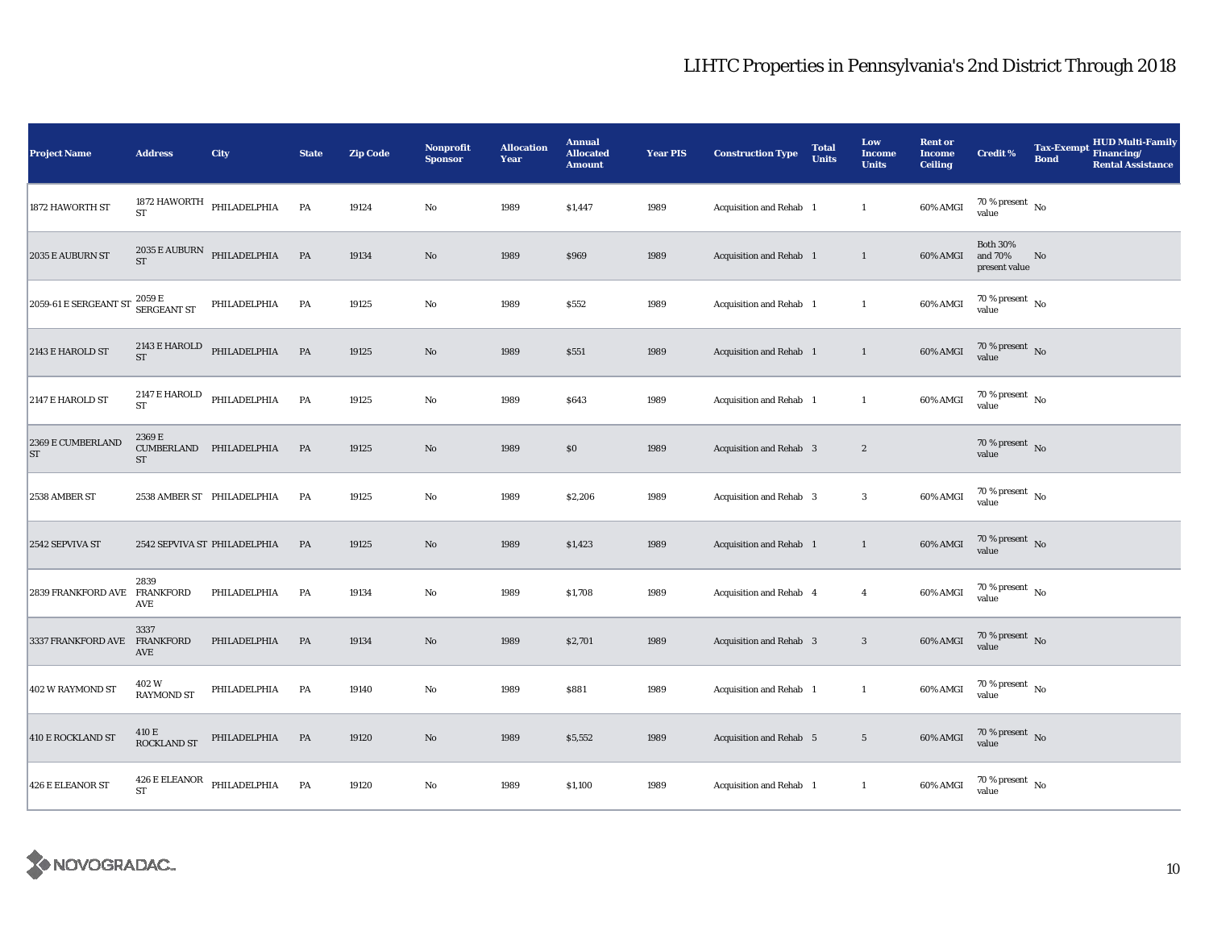| <b>Project Name</b>          | <b>Address</b>                 | City                                             | <b>State</b>  | <b>Zip Code</b> | Nonprofit<br><b>Sponsor</b> | <b>Allocation</b><br>Year | <b>Annual</b><br><b>Allocated</b><br><b>Amount</b> | <b>Year PIS</b> | <b>Construction Type</b>       | <b>Total</b><br><b>Units</b> | Low<br><b>Income</b><br><b>Units</b> | <b>Rent or</b><br><b>Income</b><br><b>Ceiling</b> | <b>Credit %</b>                             | <b>Tax-Exempt</b><br><b>Bond</b> | <b>HUD Multi-Family</b><br>Financing/<br><b>Rental Assistance</b> |
|------------------------------|--------------------------------|--------------------------------------------------|---------------|-----------------|-----------------------------|---------------------------|----------------------------------------------------|-----------------|--------------------------------|------------------------------|--------------------------------------|---------------------------------------------------|---------------------------------------------|----------------------------------|-------------------------------------------------------------------|
| 1872 HAWORTH ST              | <b>ST</b>                      | 1872 HAWORTH PHILADELPHIA                        | PA            | 19124           | $\mathbf {No}$              | 1989                      | \$1,447                                            | 1989            | Acquisition and Rehab 1        |                              | $\mathbf{1}$                         | 60% AMGI                                          | $70$ % present $\,$ No $\,$<br>value        |                                  |                                                                   |
| 2035 E AUBURN ST             | <b>ST</b>                      | $2035$ E AUBURN PHILADELPHIA                     | $\mathbf{PA}$ | 19134           | $\rm No$                    | 1989                      | \$969                                              | 1989            | Acquisition and Rehab 1        |                              | $\mathbf{1}$                         | 60% AMGI                                          | <b>Both 30%</b><br>and 70%<br>present value | No                               |                                                                   |
| 2059-61 E SERGEANT ST        | $2059\,\mathrm{E}$ SERGEANT ST | PHILADELPHIA                                     | PA            | 19125           | $\rm No$                    | 1989                      | \$552                                              | 1989            | Acquisition and Rehab 1        |                              | $\mathbf{1}$                         | 60% AMGI                                          | $70\,\%$ present $\,$ No value              |                                  |                                                                   |
| 2143 E HAROLD ST             | <b>ST</b>                      | $2143 \to \mathrm{HAROLD}$ PHILADELPHIA          | PA            | 19125           | $\rm No$                    | 1989                      | \$551                                              | 1989            | Acquisition and Rehab 1        |                              | $\mathbf{1}$                         | 60% AMGI                                          | $70\,\%$ present $\,$ No value              |                                  |                                                                   |
| 2147 E HAROLD ST             | 2147 E HAROLD<br><b>ST</b>     | PHILADELPHIA                                     | PA            | 19125           | No                          | 1989                      | \$643                                              | 1989            | Acquisition and Rehab 1        |                              | $\mathbf{1}$                         | 60% AMGI                                          | $70\,\%$ present $\,$ No value              |                                  |                                                                   |
| 2369 E CUMBERLAND<br>ST      | 2369 E<br>${\rm ST}$           | CUMBERLAND PHILADELPHIA                          | PA            | 19125           | $\rm No$                    | 1989                      | \$0                                                | 1989            | Acquisition and Rehab 3        |                              | $\boldsymbol{2}$                     |                                                   | $70\,\%$ present $\,$ No value              |                                  |                                                                   |
| 2538 AMBER ST                |                                | 2538 AMBER ST PHILADELPHIA                       | PA            | 19125           | No                          | 1989                      | \$2,206                                            | 1989            | <b>Acquisition and Rehab 3</b> |                              | $\boldsymbol{3}$                     | 60% AMGI                                          | $70\,\%$ present $\,$ No value              |                                  |                                                                   |
| 2542 SEPVIVA ST              |                                | 2542 SEPVIVA ST PHILADELPHIA                     | PA            | 19125           | $\rm No$                    | 1989                      | \$1,423                                            | 1989            | Acquisition and Rehab 1        |                              | $\mathbf{1}$                         | 60% AMGI                                          | $70\,\%$ present $\,$ No value              |                                  |                                                                   |
| 2839 FRANKFORD AVE FRANKFORD | 2839<br>AVE                    | PHILADELPHIA                                     | PA            | 19134           | $\rm No$                    | 1989                      | \$1,708                                            | 1989            | Acquisition and Rehab 4        |                              | $\overline{4}$                       | 60% AMGI                                          | $70\,\%$ present $\,$ No value              |                                  |                                                                   |
| 3337 FRANKFORD AVE FRANKFORD | 3337<br>AVE                    | PHILADELPHIA                                     | PA            | 19134           | $\rm No$                    | 1989                      | \$2,701                                            | 1989            | Acquisition and Rehab 3        |                              | $\mathbf{3}$                         | 60% AMGI                                          | $70\,\%$ present $\,$ No value              |                                  |                                                                   |
| 402 W RAYMOND ST             | 402 W<br><b>RAYMOND ST</b>     | PHILADELPHIA                                     | PA            | 19140           | No                          | 1989                      | \$881                                              | 1989            | Acquisition and Rehab 1        |                              | $\mathbf{1}$                         | 60% AMGI                                          | $70\,\%$ present $\,$ No value              |                                  |                                                                   |
| 410 E ROCKLAND ST            | 410 E<br>ROCKLAND ST           | PHILADELPHIA                                     | PA            | 19120           | $\rm No$                    | 1989                      | \$5,552                                            | 1989            | Acquisition and Rehab 5        |                              | $5\,$                                | 60% AMGI                                          | $70\,\%$ present $\,$ No value              |                                  |                                                                   |
| 426 E ELEANOR ST             | ${\rm ST}$                     | $426\,\mathrm{E}\,\mathrm{ELEANOR}$ PHILADELPHIA | PA            | 19120           | No                          | 1989                      | \$1,100                                            | 1989            | Acquisition and Rehab 1        |                              | $\mathbf{1}$                         | 60% AMGI                                          | $70\,\%$ present $\,$ No value              |                                  |                                                                   |

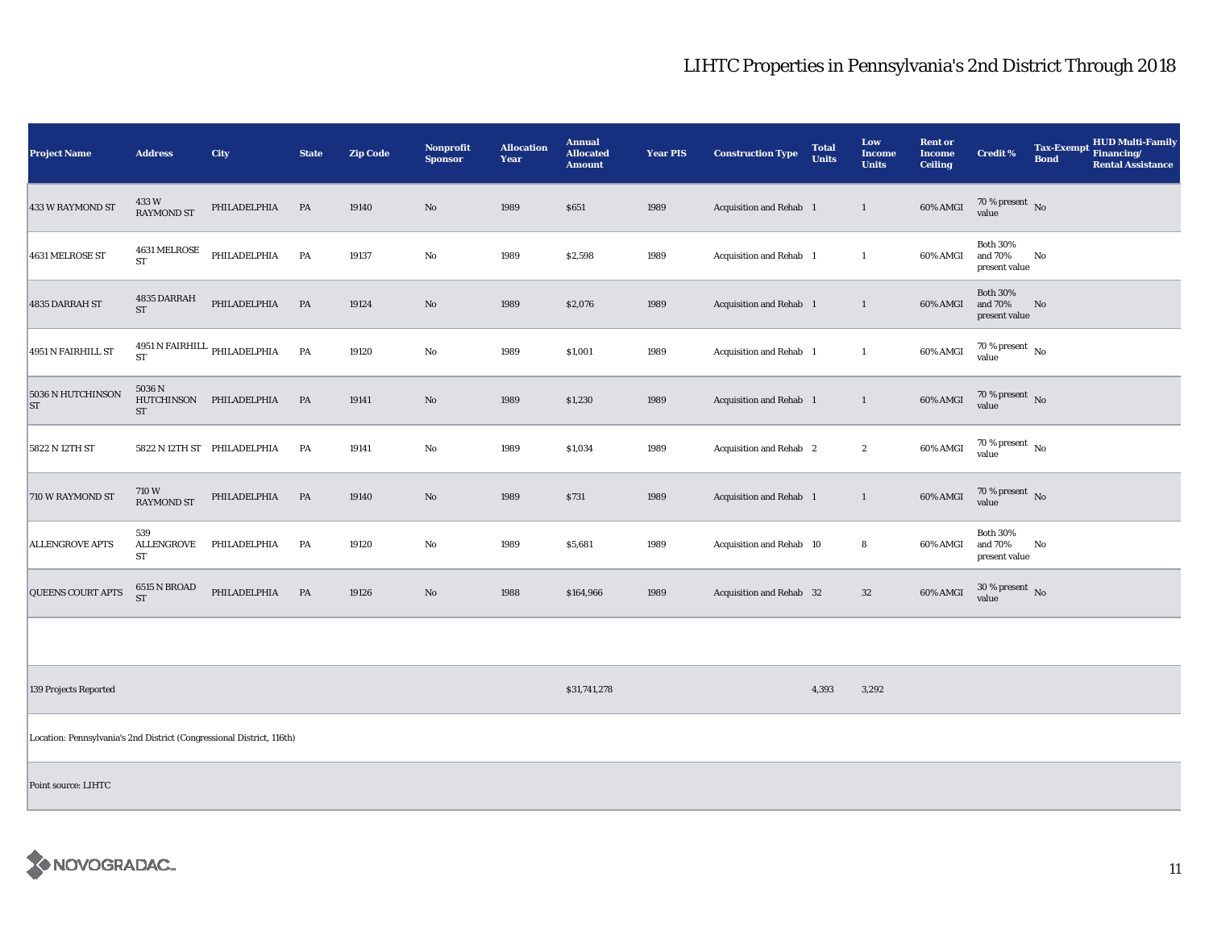| <b>Project Name</b>                                                   | <b>Address</b>             | City                              | <b>State</b>  | <b>Zip Code</b> | Nonprofit<br><b>Sponsor</b> | <b>Allocation</b><br>Year | <b>Annual</b><br><b>Allocated</b><br><b>Amount</b> | <b>Year PIS</b> | <b>Construction Type</b> | <b>Total</b><br><b>Units</b> | Low<br><b>Income</b><br><b>Units</b> | <b>Rent or</b><br><b>Income</b><br><b>Ceiling</b> | <b>Credit %</b>                             | <b>Tax-Exempt</b><br><b>Bond</b> | <b>HUD Multi-Family</b><br>Financing/<br><b>Rental Assistance</b> |
|-----------------------------------------------------------------------|----------------------------|-----------------------------------|---------------|-----------------|-----------------------------|---------------------------|----------------------------------------------------|-----------------|--------------------------|------------------------------|--------------------------------------|---------------------------------------------------|---------------------------------------------|----------------------------------|-------------------------------------------------------------------|
| 433 W RAYMOND ST                                                      | 433W<br><b>RAYMOND ST</b>  | PHILADELPHIA                      | PA            | 19140           | No                          | 1989                      | \$651                                              | 1989            | Acquisition and Rehab 1  |                              | $\mathbf{1}$                         | 60% AMGI                                          | $70\,\%$ present $\,$ No value              |                                  |                                                                   |
| <b>4631 MELROSE ST</b>                                                | 4631 MELROSE<br>${\rm ST}$ | PHILADELPHIA                      | PA            | 19137           | $\rm No$                    | 1989                      | \$2,598                                            | 1989            | Acquisition and Rehab 1  |                              | $\mathbf{1}$                         | 60% AMGI                                          | <b>Both 30%</b><br>and 70%<br>present value | No                               |                                                                   |
| 4835 DARRAH ST                                                        | 4835 DARRAH<br>${\rm ST}$  | PHILADELPHIA                      | PA            | 19124           | $\rm No$                    | 1989                      | \$2,076                                            | 1989            | Acquisition and Rehab 1  |                              | $\mathbf{1}$                         | 60% AMGI                                          | <b>Both 30%</b><br>and 70%<br>present value | No                               |                                                                   |
| 4951 N FAIRHILL ST                                                    | ${\rm ST}$                 | 4951 N FAIRHILL $\,$ PHILADELPHIA | PA            | 19120           | $\rm\thinspace No$          | 1989                      | \$1,001                                            | 1989            | Acquisition and Rehab 1  |                              | $\mathbf{1}$                         | 60% AMGI                                          | $70\,\%$ present $\,$ No value              |                                  |                                                                   |
| 5036 N HUTCHINSON<br><b>ST</b>                                        | 5036 N<br>${\rm ST}$       | HUTCHINSON PHILADELPHIA           | PA            | 19141           | $\mathbf{No}$               | 1989                      | \$1,230                                            | 1989            | Acquisition and Rehab 1  |                              | $\mathbf{1}$                         | 60% AMGI                                          | 70 % present $\,$ No $\,$<br>value          |                                  |                                                                   |
| 5822 N 12TH ST                                                        |                            | 5822 N 12TH ST PHILADELPHIA       | PA            | 19141           | $\rm No$                    | 1989                      | \$1,034                                            | 1989            | Acquisition and Rehab 2  |                              | $\boldsymbol{2}$                     | 60% AMGI                                          | $70\,\%$ present $$$ No value               |                                  |                                                                   |
| 710 W RAYMOND ST                                                      | 710W<br><b>RAYMOND ST</b>  | PHILADELPHIA                      | $\mathbf{PA}$ | 19140           | $\rm No$                    | 1989                      | \$731                                              | 1989            | Acquisition and Rehab 1  |                              | $\mathbf{1}$                         | 60% AMGI                                          | $70$ % present $$\rm{No}$$ value            |                                  |                                                                   |
| <b>ALLENGROVE APTS</b>                                                | 539<br>ALLENGROVE<br>ST    | PHILADELPHIA                      | PA            | 19120           | $\rm No$                    | 1989                      | \$5,681                                            | 1989            | Acquisition and Rehab 10 |                              | 8                                    | 60% AMGI                                          | <b>Both 30%</b><br>and 70%<br>present value | No                               |                                                                   |
| QUEENS COURT APTS                                                     | 6515 N BROAD<br><b>ST</b>  | PHILADELPHIA                      | PA            | 19126           | $\rm No$                    | 1988                      | \$164,966                                          | 1989            | Acquisition and Rehab 32 |                              | $32\,$                               | 60% AMGI                                          | $30\%$ present No<br>value                  |                                  |                                                                   |
|                                                                       |                            |                                   |               |                 |                             |                           |                                                    |                 |                          |                              |                                      |                                                   |                                             |                                  |                                                                   |
| 139 Projects Reported                                                 |                            |                                   |               |                 |                             |                           | \$31,741,278                                       |                 |                          | 4,393                        | 3,292                                |                                                   |                                             |                                  |                                                                   |
| Location: Pennsylvania's 2nd District (Congressional District, 116th) |                            |                                   |               |                 |                             |                           |                                                    |                 |                          |                              |                                      |                                                   |                                             |                                  |                                                                   |
| Point source: LIHTC                                                   |                            |                                   |               |                 |                             |                           |                                                    |                 |                          |                              |                                      |                                                   |                                             |                                  |                                                                   |